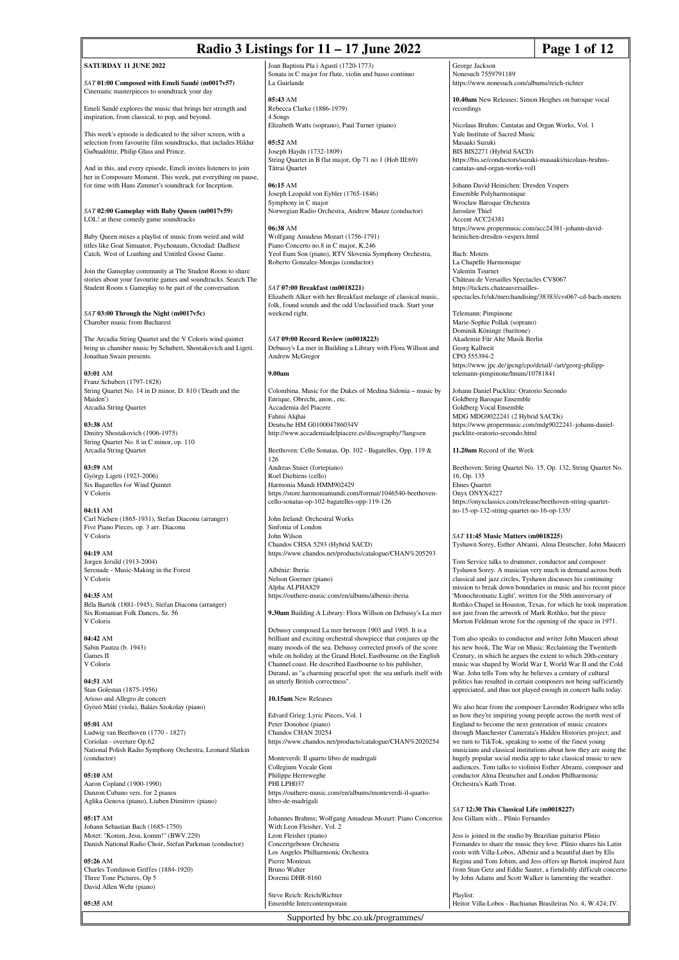# **Radio 3 Listings for 11 – 17 June 2022 Page 1 of 12**

## **SATURDAY 11 JUNE 2022**

*SAT* **01:00 Composed with Emeli Sandé (m0017v57)** Cinematic masterpieces to soundtrack your day

Emeli Sandé explores the music that brings her strength and inspiration, from classical, to pop, and beyond.

This week's episode is dedicated to the silver screen, with a selection from favourite film soundtracks, that includes Hildur Guðnadóttir, Philip Glass and Prince.

And in this, and every episode, Emeli invites listeners to join her in Composure Moment. This week, put everything on pause, for time with Hans Zimmer's soundtrack for Inception.

*SAT* **02:00 Gameplay with Baby Queen (m0017v59)** LOL! at these comedy game soundtracks

Baby Queen mixes a playlist of music from weird and wild titles like Goat Simuator, Psychonauts, Octodad: Dadliest Catch, West of Loathing and Untitled Goose Game.

Join the Gameplay community at The Student Room to share stories about your favourite games and soundtracks. Search The Student Room x Gameplay to be part of the conversation.

*SAT* **03:00 Through the Night (m0017v5c)** Chamber music from Bucharest

The Arcadia String Quartet and the V Coloris wind quintet bring us chamber music by Schubert, Shostakovich and Ligeti. Jonathan Swain presents.

**03:01** AM Franz Schubert (1797-1828) String Quartet No. 14 in D minor, D. 810 ('Death and the Maiden') Arcadia String Quartet

**03:38** AM Dmitry Shostakovich (1906-1975) String Quartet No. 8 in C minor, op. 110 Arcadia String Quartet

**03:59** AM György Ligeti (1923-2006) Six Bagatelles for Wind Quintet V Coloris

**04:11** AM Carl Nielsen (1865-1931), Stefan Diaconu (arranger) Five Piano Pieces, op. 3 arr. Diaconu V Coloris

**04:19** AM Jorgen Jersild (1913-2004) Serenade - Music-Making in the Forest V Coloris

**04:35** AM Béla Bartók (1881-1945), Stefan Diaconu (arranger) Six Romanian Folk Dances, Sz. 56 V Coloris

**04:42** AM Sabin Pautza (b. 1943) Games II V Coloris

**04:51** AM Stan Golestan (1875-1956) Arioso and Allegro de concert Gyözö Máté (viola), Balázs Szokolay (piano)

**05:01** AM Ludwig van Beethoven (1770 - 1827) Coriolan - overture Op.62 National Polish Radio Symphony Orchestra, Leonard Slatkin (conductor)

**05:10** AM Aaron Copland (1900-1990) Danzon Cubano vers. for 2 pianos Aglika Genova (piano), Liuben Dimitrov (piano)

**05:17** AM Johann Sebastian Bach (1685-1750) Motet: "Komm, Jesu, komm!" (BWV.229) Danish National Radio Choir, Stefan Parkman (conductor)

**05:26** AM Charles Tomlinson Griffes (1884-1920) Three Tone Pictures, Op 5 David Allen Wehr (piano)

**05:35** AM

Joan Baptista Pla i Agustí (1720-1773) Sonata in C major for flute, violin and basso continuo La Guirlande

**05:43** AM Rebecca Clarke (1886-1979) 4 Songs Elizabeth Watts (soprano), Paul Turner (piano)

**05:52** AM Joseph Haydn (1732-1809) String Quartet in B flat major, Op 71 no 1 (Hob III:69) Tátrai Quartet

**06:15** AM Joseph Leopold von Eybler (1765-1846) Symphony in C major Norwegian Radio Orchestra, Andrew Manze (conductor)

**06:38** AM Wolfgang Amadeus Mozart (1756-1791) Piano Concerto no.8 in C major, K.246 Yeol Eum Son (piano), RTV Slovenia Symphony Orchestra, Roberto Gonzalez-Monjas (conductor)

*SAT* **07:00 Breakfast (m0018221)** Elizabeth Alker with her Breakfast melange of classical music, folk, found sounds and the odd Unclassified track. Start your weekend right.

*SAT* **09:00 Record Review (m0018223)** Debussy's La mer in Building a Library with Flora Willson and Andrew McGregor

## **9.00am**

Colombina. Music for the Dukes of Medina Sidonia – music by Enrique, Obrecht, anon., etc. Accademia del Piacere Fahmi Alqhai Deutsche HM G010004786034V http://www.accademiadelpiacere.es/discography/?lang=en

Beethoven: Cello Sonatas, Op. 102 - Bagatelles, Opp. 119 & 126

Andreas Staier (fortepiano) Roel Dieltiens (cello) Harmonia Mundi HMM902429 https://store.harmoniamundi.com/format/1046540-beethovencello-sonatas-op-102-bagatelles-opp-119-126

John Ireland: Orchestral Works Sinfonia of London John Wilson Chandos CHSA 5293 (Hybrid SACD) https://www.chandos.net/products/catalogue/CHAN%205293

Albéniz: Iberia Nelson Goerner (piano) Alpha ALPHA829 https://outhere-music.com/en/albums/albeniz-iberia

**9.30am** Building A Library: Flora Willson on Debussy's La mer

Debussy composed La mer between 1903 and 1905. It is a brilliant and exciting orchestral showpiece that conjures up the many moods of the sea. Debussy corrected proofs of the score while on holiday at the Grand Hotel, Eastbourne on the English Channel coast. He described Eastbourne to his publisher, Durand, as "a charming peaceful spot: the sea unfurls itself with an utterly British correctness".

## **10.15am** New Releases

Edvard Grieg: Lyric Pieces, Vol. 1 Peter Donohoe (piano) Chandos CHAN 20254 https://www.chandos.net/products/catalogue/CHAN%2020254

Monteverdi: Il quarto libro de madrigali Collegium Vocale Gent Philippe Herreweghe PHI LPH037 https://outhere-music.com/en/albums/monteverdi-il-quartolibro-de-madrigali

Johannes Brahms; Wolfgang Amadeus Mozart: Piano Concertos With Leon Fleisher, Vol. 2 Leon Fleisher (piano) Concertgebouw Orchestra Los Angeles Philharmonic Orchestra Pierre Monteux Bruno Walter Doremi DHR-8160

Steve Reich: Reich/Richter Ensemble Intercontemporain

Supported by bbc.co.uk/programmes/

George Jackson Nonesuch 7559791189<br>https://www.nonesuch.c esuch.com/albums/reich-richter

**10.40am** New Releases: Simon Heighes on baroque vocal recordings

Nicolaus Bruhns: Cantatas and Organ Works, Vol. 1 Yale Institute of Sacred Music Masaaki Suzuki BIS BIS2271 (Hybrid SACD) https://bis.se/conductors/suzuki-masaaki/nicolaus-bruhnscantatas-and-organ-works-vol1

Johann David Heinichen: Dresden Vespers Ensemble Polyharmonique Wroclaw Baroque Orchestra Jaroslaw Thiel Accent ACC24381 https://www.propermusic.com/acc24381-johann-davidheinichen-dresden-vespers.html

Bach: Motets La Chapelle Harmonique Valentin Tournet Château de Versailles Spectacles CVS067 https://tickets.chateauversaillesspectacles.fr/uk/merchandising/38383/cvs067-cd-bach-motets

Telemann: Pimpinone Marie-Sophie Pollak (soprano) Dominik Köninge (baritone) Akademie Für Alte Musik Berlin Georg Kallweit CPO 555394-2 https://www.jpc.de/jpcng/cpo/detail/-/art/georg-philipptelemann-pimpinone/hnum/10781841

Johann Daniel Pucklitz: Oratorio Secondo Goldberg Baroque Ensemble Goldberg Vocal Ensemble MDG MDG9022241 (2 Hybrid SACDs) https://www.propermusic.com/mdg9022241-johann-danielpucklitz-oratorio-secondo.html

**11.20am** Record of the Week

Beethoven: String Quartet No. 15, Op. 132, String Quartet No. 16, Op. 135 Ehnes Quartet Onyx ONYX4227 https://onyxclassics.com/release/beethoven-string-quartetno-15-op-132-string-quartet-no-16-op-135/

## *SAT* **11:45 Music Matters (m0018225)**

Tyshawn Sorey, Esther Abrami, Alma Deutscher, John Mauceri

Tom Service talks to drummer, conductor and composer Tyshawn Sorey. A musician very much in demand across both classical and jazz circles, Tyshawn discusses his continuing mission to break down boundaries in music and his recent piece 'Monochromatic Light', written for the 50th anniversary of Rothko Chapel in Houston, Texas, for which he took inspiration not just from the artwork of Mark Rothko, but the piece Morton Feldman wrote for the opening of the space in 1971.

Tom also speaks to conductor and writer John Mauceri about his new book, The War on Music: Reclaiming the Twentieth Century, in which he argues the extent to which 20th-century music was shaped by World War I, World War II and the Cold War. John tells Tom why he believes a century of cultural politics has resulted in certain composers not being sufficiently appreciated, and thus not played enough in concert halls today.

We also hear from the composer Lavender Rodriguez who tells us how they're inspiring young people across the north west of England to become the next generation of music creators through Manchester Camerata's Hidden Histories project; and we turn to TikTok, speaking to some of the finest young musicians and classical institutions about how they are using the hugely popular social media app to take classical music to new audiences. Tom talks to violinist Esther Abrami, composer and conductor Alma Deutscher and London Philharmonic Orchestra's Kath Trout.

*SAT* **12:30 This Classical Life (m0018227)** Jess Gillam with... Plínio Fernandes

Jess is joined in the studio by Brazilian guitarist Plínio Fernandes to share the music they love. Plínio shares his Latin roots with Villa-Lobos, Albéniz and a beautiful duet by Elis Regina and Tom Jobim, and Jess offers up Bartok inspired Jazz from Stan Getz and Eddie Sauter, a fiendishly difficult conc by John Adams and Scott Walker is lamenting the weather.

### Playlist:

Heitor Villa-Lobos - Bachianas Brasileiras No. 4, W.424; IV.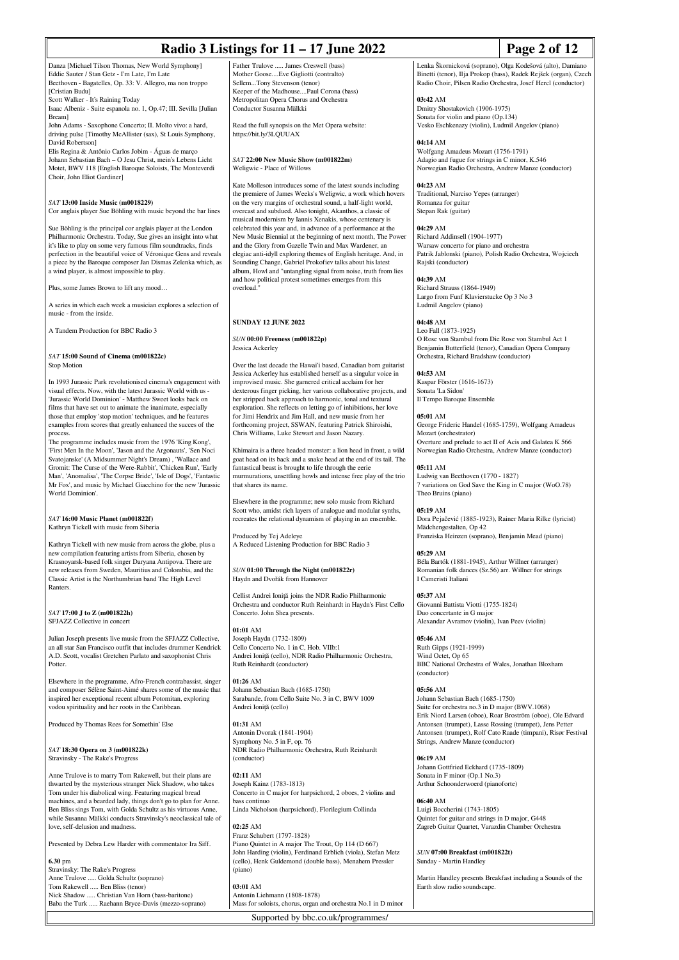| Page 2 of 12<br>Radio 3 Listings for 11 - 17 June 2022                                                                             |                                                                                                                                        |                                                                                                            |                                                                  |
|------------------------------------------------------------------------------------------------------------------------------------|----------------------------------------------------------------------------------------------------------------------------------------|------------------------------------------------------------------------------------------------------------|------------------------------------------------------------------|
| Danza [Michael Tilson Thomas, New World Symphony]                                                                                  | Father Trulove  James Creswell (bass)                                                                                                  |                                                                                                            | Lenka Škornicková (soprano), Olga Kodešová (alto), Damiano       |
| Eddie Sauter / Stan Getz - I'm Late, I'm Late                                                                                      | Mother GooseEve Gigliotti (contralto)                                                                                                  |                                                                                                            | Binetti (tenor), Ilja Prokop (bass), Radek Rejšek (organ), Czech |
| Beethoven - Bagatelles, Op. 33: V. Allegro, ma non troppo<br>[Cristian Budu]                                                       | SellemTony Stevenson (tenor)<br>Keeper of the MadhousePaul Corona (bass)                                                               |                                                                                                            | Radio Choir, Pilsen Radio Orchestra, Josef Hercl (conductor)     |
| Scott Walker - It's Raining Today<br>Isaac Albeniz - Suite espanola no. 1, Op.47; III. Sevilla [Julian                             | Metropolitan Opera Chorus and Orchestra<br>Conductor Susanna Mälkki                                                                    | 03:42 AM                                                                                                   |                                                                  |
| Bream]                                                                                                                             |                                                                                                                                        | Dmitry Shostakovich (1906-1975)<br>Sonata for violin and piano (Op.134)                                    |                                                                  |
| John Adams - Saxophone Concerto; II. Molto vivo: a hard,                                                                           | Read the full synopsis on the Met Opera website:                                                                                       | Vesko Eschkenazy (violin), Ludmil Angelov (piano)                                                          |                                                                  |
| driving pulse [Timothy McAllister (sax), St Louis Symphony,<br>David Robertson]                                                    | https://bit.ly/3LQUUAX                                                                                                                 | 04:14 AM                                                                                                   |                                                                  |
| Elis Regina & Antônio Carlos Jobim - Águas de março                                                                                |                                                                                                                                        | Wolfgang Amadeus Mozart (1756-1791)                                                                        |                                                                  |
| Johann Sebastian Bach - O Jesu Christ, mein's Lebens Licht<br>Motet, BWV 118 [English Baroque Soloists, The Monteverdi             | SAT 22:00 New Music Show (m001822m)<br>Weligwic - Place of Willows                                                                     | Adagio and fugue for strings in C minor, K.546<br>Norwegian Radio Orchestra, Andrew Manze (conductor)      |                                                                  |
| Choir, John Eliot Gardiner]                                                                                                        |                                                                                                                                        |                                                                                                            |                                                                  |
|                                                                                                                                    | Kate Molleson introduces some of the latest sounds including<br>the premiere of James Weeks's Weligwic, a work which hovers            | 04:23 AM<br>Traditional, Narciso Yepes (arranger)                                                          |                                                                  |
| SAT 13:00 Inside Music (m0018229)                                                                                                  | on the very margins of orchestral sound, a half-light world,                                                                           | Romanza for guitar                                                                                         |                                                                  |
| Cor anglais player Sue Böhling with music beyond the bar lines                                                                     | overcast and subdued. Also tonight, Akanthos, a classic of<br>musical modernism by Iannis Xenakis, whose centenary is                  | Stepan Rak (guitar)                                                                                        |                                                                  |
| Sue Böhling is the principal cor anglais player at the London                                                                      | celebrated this year and, in advance of a performance at the                                                                           | 04:29 AM                                                                                                   |                                                                  |
| Philharmonic Orchestra. Today, Sue gives an insight into what<br>it's like to play on some very famous film soundtracks, finds     | New Music Biennial at the beginning of next month, The Power<br>and the Glory from Gazelle Twin and Max Wardener, an                   | Richard Addinsell (1904-1977)<br>Warsaw concerto for piano and orchestra                                   |                                                                  |
| perfection in the beautiful voice of Véronique Gens and reveals                                                                    | elegiac anti-idyll exploring themes of English heritage. And, in                                                                       | Patrik Jablonski (piano), Polish Radio Orchestra, Wojciech                                                 |                                                                  |
| a piece by the Baroque composer Jan Dismas Zelenka which, as<br>a wind player, is almost impossible to play.                       | Sounding Change, Gabriel Prokofiev talks about his latest<br>album, Howl and "untangling signal from noise, truth from lies            | Rajski (conductor)                                                                                         |                                                                  |
|                                                                                                                                    | and how political protest sometimes emerges from this                                                                                  | 04:39 AM                                                                                                   |                                                                  |
| Plus, some James Brown to lift any mood                                                                                            | overload."                                                                                                                             | Richard Strauss (1864-1949)<br>Largo from Funf Klavierstucke Op 3 No 3                                     |                                                                  |
| A series in which each week a musician explores a selection of                                                                     |                                                                                                                                        | Ludmil Angelov (piano)                                                                                     |                                                                  |
| music - from the inside.                                                                                                           | <b>SUNDAY 12 JUNE 2022</b>                                                                                                             | 04:48 AM                                                                                                   |                                                                  |
| A Tandem Production for BBC Radio 3                                                                                                |                                                                                                                                        | Leo Fall (1873-1925)                                                                                       |                                                                  |
|                                                                                                                                    | SUN 00:00 Freeness (m001822p)<br>Jessica Ackerley                                                                                      | O Rose von Stambul from Die Rose von Stambul Act 1<br>Benjamin Butterfield (tenor), Canadian Opera Company |                                                                  |
| SAT 15:00 Sound of Cinema (m001822c)                                                                                               |                                                                                                                                        | Orchestra, Richard Bradshaw (conductor)                                                                    |                                                                  |
| <b>Stop Motion</b>                                                                                                                 | Over the last decade the Hawai'i based, Canadian born guitarist<br>Jessica Ackerley has established herself as a singular voice in     | 04:53 AM                                                                                                   |                                                                  |
| In 1993 Jurassic Park revolutionised cinema's engagement with                                                                      | improvised music. She garnered critical acclaim for her                                                                                | Kaspar Förster (1616-1673)                                                                                 |                                                                  |
| visual effects. Now, with the latest Jurassic World with us -                                                                      | dexterous finger picking, her various collaborative projects, and                                                                      | Sonata 'La Sidon'                                                                                          |                                                                  |
| 'Jurassic World Dominion' - Matthew Sweet looks back on<br>films that have set out to animate the inanimate, especially            | her stripped back approach to harmonic, tonal and textural<br>exploration. She reflects on letting go of inhibitions, her love         | Il Tempo Baroque Ensemble                                                                                  |                                                                  |
| those that employ 'stop motion' techniques, and he features                                                                        | for Jimi Hendrix and Jim Hall, and new music from her                                                                                  | 05:01 AM                                                                                                   |                                                                  |
| examples from scores that greatly enhanced the succes of the<br>process.                                                           | forthcoming project, SSWAN, featuring Patrick Shiroishi,<br>Chris Williams, Luke Stewart and Jason Nazary.                             | George Frideric Handel (1685-1759), Wolfgang Amadeus<br>Mozart (orchestrator)                              |                                                                  |
| The programme includes music from the 1976 'King Kong',                                                                            |                                                                                                                                        | Overture and prelude to act II of Acis and Galatea K 566                                                   |                                                                  |
| 'First Men In the Moon', 'Jason and the Argonauts', 'Sen Noci<br>Svatojanske' (A Midsummer Night's Dream), 'Wallace and            | Khimaira is a three headed monster: a lion head in front, a wild<br>goat head on its back and a snake head at the end of its tail. The | Norwegian Radio Orchestra, Andrew Manze (conductor)                                                        |                                                                  |
| Gromit: The Curse of the Were-Rabbit', 'Chicken Run', 'Early                                                                       | fantastical beast is brought to life through the eerie                                                                                 | 05:11 AM                                                                                                   |                                                                  |
| Man', 'Anomalisa', 'The Corpse Bride', 'Isle of Dogs', 'Fantastic<br>Mr Fox', and music by Michael Giacchino for the new 'Jurassic | murmurations, unsettling howls and intense free play of the trio<br>that shares its name.                                              | Ludwig van Beethoven (1770 - 1827)<br>7 variations on God Save the King in C major (WoO.78)                |                                                                  |
| World Dominion'.                                                                                                                   |                                                                                                                                        | Theo Bruins (piano)                                                                                        |                                                                  |
|                                                                                                                                    | Elsewhere in the programme; new solo music from Richard<br>Scott who, amidst rich layers of analogue and modular synths,               | $05:19$ AM                                                                                                 |                                                                  |
| SAT 16:00 Music Planet (m001822f)                                                                                                  | recreates the relational dynamism of playing in an ensemble.                                                                           | Dora Pejačević (1885-1923), Rainer Maria Rilke (lyricist)                                                  |                                                                  |
| Kathryn Tickell with music from Siberia                                                                                            | Produced by Tej Adeleye                                                                                                                | Mädchengestalten, Op 42<br>Franziska Heinzen (soprano), Benjamin Mead (piano)                              |                                                                  |
| Kathryn Tickell with new music from across the globe, plus a                                                                       | A Reduced Listening Production for BBC Radio 3                                                                                         |                                                                                                            |                                                                  |
| new compilation featuring artists from Siberia, chosen by<br>Krasnoyarsk-based folk singer Daryana Antipova. There are             |                                                                                                                                        | 05:29 AM<br>Béla Bartók (1881-1945), Arthur Willner (arranger)                                             |                                                                  |
| new releases from Sweden, Mauritius and Colombia, and the                                                                          | SUN 01:00 Through the Night (m001822r)                                                                                                 | Romanian folk dances (Sz.56) arr. Willner for strings                                                      |                                                                  |
| Classic Artist is the Northumbrian band The High Level<br>Ranters.                                                                 | Haydn and Dvořák from Hannover                                                                                                         | I Cameristi Italiani                                                                                       |                                                                  |
|                                                                                                                                    | Cellist Andrei Ioniță joins the NDR Radio Philharmonic                                                                                 | 05:37 AM                                                                                                   |                                                                  |
| SAT 17:00 J to Z (m001822h)                                                                                                        | Orchestra and conductor Ruth Reinhardt in Haydn's First Cello<br>Concerto. John Shea presents.                                         | Giovanni Battista Viotti (1755-1824)<br>Duo concertante in G major                                         |                                                                  |
| SFJAZZ Collective in concert                                                                                                       |                                                                                                                                        | Alexandar Avramov (violin), Ivan Peev (violin)                                                             |                                                                  |
| Julian Joseph presents live music from the SFJAZZ Collective,                                                                      | 01:01 AM<br>Joseph Haydn (1732-1809)                                                                                                   | 05:46 AM                                                                                                   |                                                                  |
| an all star San Francisco outfit that includes drummer Kendrick                                                                    | Cello Concerto No. 1 in C, Hob. VIIb:1                                                                                                 | Ruth Gipps (1921-1999)                                                                                     |                                                                  |
| A.D. Scott, vocalist Gretchen Parlato and saxophonist Chris<br>Potter.                                                             | Andrei Ioniță (cello), NDR Radio Philharmonic Orchestra,<br>Ruth Reinhardt (conductor)                                                 | Wind Octet, Op 65<br>BBC National Orchestra of Wales, Jonathan Bloxham                                     |                                                                  |
|                                                                                                                                    |                                                                                                                                        | (conductor)                                                                                                |                                                                  |
| Elsewhere in the programme, Afro-French contrabassist, singer<br>and composer Sélène Saint-Aimé shares some of the music that      | 01:26 AM<br>Johann Sebastian Bach (1685-1750)                                                                                          | 05:56 AM                                                                                                   |                                                                  |
| inspired her exceptional recent album Potomitan, exploring                                                                         | Sarabande, from Cello Suite No. 3 in C, BWV 1009                                                                                       | Johann Sebastian Bach (1685-1750)                                                                          |                                                                  |
| vodou spirituality and her roots in the Caribbean.                                                                                 | Andrei Ioniță (cello)                                                                                                                  | Suite for orchestra no.3 in D major (BWV.1068)                                                             | Erik Niord Larsen (oboe), Roar Broström (oboe), Ole Edvard       |
| Produced by Thomas Rees for Somethin' Else                                                                                         | 01:31 AM                                                                                                                               | Antonsen (trumpet), Lasse Rossing (trumpet), Jens Petter                                                   |                                                                  |
|                                                                                                                                    | Antonin Dvorak (1841-1904)<br>Symphony No. 5 in F, op. 76                                                                              | Strings, Andrew Manze (conductor)                                                                          | Antonsen (trumpet), Rolf Cato Raade (timpani), Risør Festival    |
| SAT 18:30 Opera on 3 (m001822k)                                                                                                    | NDR Radio Philharmonic Orchestra, Ruth Reinhardt                                                                                       |                                                                                                            |                                                                  |
| Stravinsky - The Rake's Progress                                                                                                   | (conductor)                                                                                                                            | 06:19 AM<br>Johann Gottfried Eckhard (1735-1809)                                                           |                                                                  |
| Anne Trulove is to marry Tom Rakewell, but their plans are                                                                         | $02:11$ AM                                                                                                                             | Sonata in F minor (Op.1 No.3)                                                                              |                                                                  |
| thwarted by the mysterious stranger Nick Shadow, who takes<br>Tom under his diabolical wing. Featuring magical bread               | Joseph Kainz (1783-1813)<br>Concerto in C major for harpsichord, 2 oboes, 2 violins and                                                | Arthur Schoonderwoerd (pianoforte)                                                                         |                                                                  |
| machines, and a bearded lady, things don't go to plan for Anne.                                                                    | bass continuo                                                                                                                          | 06:40 AM                                                                                                   |                                                                  |
| Ben Bliss sings Tom, with Golda Schultz as his virtuous Anne,                                                                      | Linda Nicholson (harpsichord), Florilegium Collinda                                                                                    | Luigi Boccherini (1743-1805)                                                                               |                                                                  |
| while Susanna Mälkki conducts Stravinsky's neoclassical tale of<br>love, self-delusion and madness.                                | $02:25$ AM                                                                                                                             | Quintet for guitar and strings in D major, G448<br>Zagreb Guitar Quartet, Varazdin Chamber Orchestra       |                                                                  |
|                                                                                                                                    | Franz Schubert (1797-1828)                                                                                                             |                                                                                                            |                                                                  |
| Presented by Debra Lew Harder with commentator Ira Siff.                                                                           | Piano Quintet in A major The Trout, Op 114 (D 667)<br>John Harding (violin), Ferdinand Erblich (viola), Stefan Metz                    | SUN 07:00 Breakfast (m001822t)                                                                             |                                                                  |
| $6.30$ pm                                                                                                                          | (cello), Henk Guldemond (double bass), Menahem Pressler                                                                                | Sunday - Martin Handley                                                                                    |                                                                  |
| Stravinsky: The Rake's Progress<br>Anne Trulove  Golda Schultz (soprano)                                                           | (piano)                                                                                                                                |                                                                                                            | Martin Handley presents Breakfast including a Sounds of the      |
| Tom Rakewell  Ben Bliss (tenor)                                                                                                    | 03:01 AM                                                                                                                               | Earth slow radio soundscape.                                                                               |                                                                  |
| Nick Shadow  Christian Van Horn (bass-baritone)<br>Baba the Turk  Raehann Bryce-Davis (mezzo-soprano)                              | Antonín Liehmann (1808-1878)<br>Mass for soloists, chorus, organ and orchestra No.1 in D minor                                         |                                                                                                            |                                                                  |

Supported by bbc.co.uk/programmes/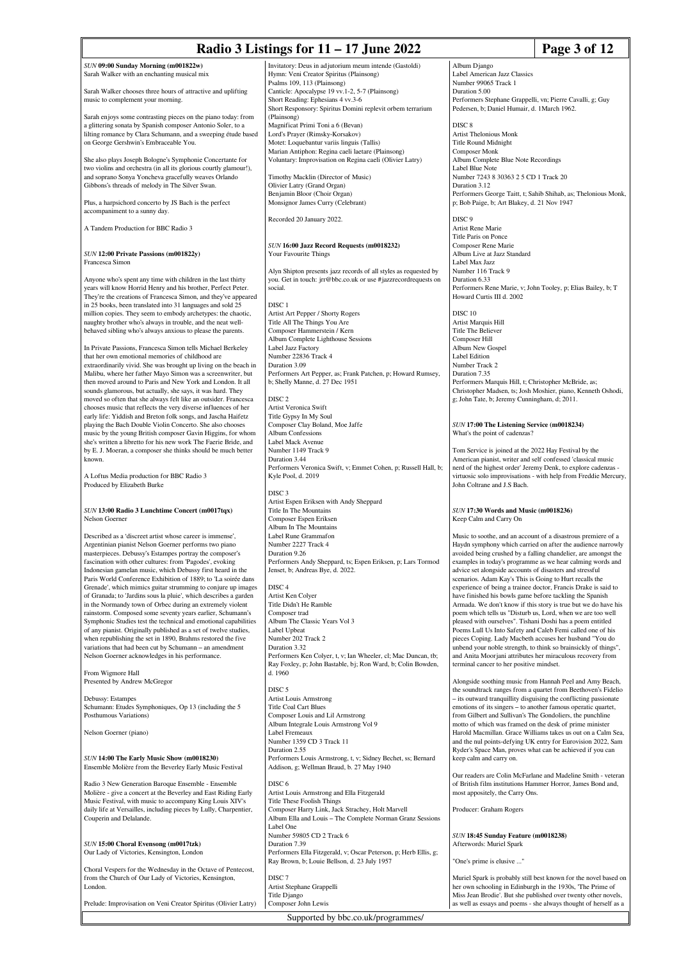## **Radio 3 Listings for 11 – 17 June 2022 Page 3 of 12**

*SUN* **09:00 Sunday Morning (m001822w)** Sarah Walker with an enchanting musical mix

Sarah Walker chooses three hours of attractive and uplifting music to complement your morning.

Sarah enjoys some contrasting pieces on the piano today: from a glittering sonata by Spanish composer Antonio Soler, to a lilting romance by Clara Schumann, and a sweeping étude based on George Gershwin's Embraceable You.

She also plays Joseph Bologne's Symphonie Concertante for two violins and orchestra (in all its glorious courtly glamour!), and soprano Sonya Yoncheva gracefully weaves Orlando s's threads of melody in The Silver Swan

Plus, a harpsichord concerto by JS Bach is the perfect accompaniment to a sunny day.

A Tandem Production for BBC Radio 3

*SUN* **12:00 Private Passions (m001822y)** Francesca Simon

Anyone who's spent any time with children in the last thirty years will know Horrid Henry and his brother, Perfect Peter. They're the creations of Francesca Simon, and they've appeared in 25 books, been translated into 31 languages and sold 25 million copies. They seem to embody archetypes: the chaotic, naughty brother who's always in trouble, and the neat wellbehaved sibling who's always anxious to please the parents.

In Private Passions, Francesca Simon tells Michael Berkeley that her own emotional memories of childhood are extraordinarily vivid. She was brought up living on the beach in Malibu, where her father Mayo Simon was a screenwriter, but then moved around to Paris and New York and London. It all sounds glamorous, but actually, she says, it was hard. They moved so often that she always felt like an outsider. Francesca chooses music that reflects the very diverse influences of her early life: Yiddish and Breton folk songs, and Jascha Haifetz playing the Bach Double Violin Concerto. She also chooses music by the young British composer Gavin Higgins, for whom she's written a libretto for his new work The Faerie Bride, and by E. J. Moeran, a composer she thinks should be much better known.

A Loftus Media production for BBC Radio 3 Produced by Elizabeth Burke

## *SUN* **13:00 Radio 3 Lunchtime Concert (m0017tqx)** Nelson Goerner

Described as a 'discreet artist whose career is immense', Argentinian pianist Nelson Goerner performs two piano masterpieces. Debussy's Estampes portray the composer's fascination with other cultures: from 'Pagodes', evoking Indonesian gamelan music, which Debussy first heard in the Paris World Conference Exhibition of 1889; to 'La soirée dans Grenade', which mimics guitar strumming to conjure up images of Granada; to 'Jardins sous la pluie', which describes a garden in the Normandy town of Orbec during an extremely violent rainstorm. Composed some seventy years earlier, Schumann's Symphonic Studies test the technical and emotional capabilities of any pianist. Originally published as a set of twelve studies, when republishing the set in 1890, Brahms restored the five variations that had been cut by Schumann – an amendment Nelson Goerner acknowledges in his performance.

From Wigmore Hall Presented by Andrew McGregor

Debussy: Estampes Schumann: Etudes Symphoniques, Op 13 (including the 5 Posthumous Variations)

Nelson Goerner (piano)

*SUN* **14:00 The Early Music Show (m0018230)** Ensemble Molière from the Beverley Early Music Festival

Radio 3 New Generation Baroque Ensemble - Ensemble Molière - give a concert at the Beverley and East Riding Early Music Festival, with music to accompany King Louis XIV's daily life at Versailles, including pieces by Lully, Charpentier, Couperin and Delalande.

*SUN* **15:00 Choral Evensong (m0017tzk)** Our Lady of Victories, Kensington, London

Choral Vespers for the Wednesday in the Octave of Pentecost, from the Church of Our Lady of Victories, Kensington, London.

Prelude: Improvisation on Veni Creator Spiritus (Olivier Latry)

Invitatory: Deus in adjutorium meum intende (Gastoldi) Hymn: Veni Creator Spiritus (Plainsong) Psalms 109, 113 (Plair Canticle: Apocalypse 19 vv.1-2, 5-7 (Plainsong) Short Reading: Ephesians 4 vv.3-6 Short Responsory: Spiritus Domini replevit orbem terrarium (Plainsong) Magnificat Primi Toni a 6 (Bevan) Lord's Prayer (Rimsky-Korsakov) Motet: Loquebantur variis linguis (Tallis) Marian Antiphon: Regina caeli laetare (Plainsong) Voluntary: Improvisation on Regina caeli (Olivier Latry)

Timothy Macklin (Director of Music) Olivier Latry (Grand Organ) Benjamin Bloor (Choir Organ) Monsignor James Curry (Celebrant)

Recorded 20 January 2022.

*SUN* **16:00 Jazz Record Requests (m0018232)** Your Favourite Things

Alyn Shipton presents jazz records of all styles as requested by you. Get in touch: jrr@bbc.co.uk or use #jazzrecordrequests on .<br>social.

DISC 1 Artist Art Pepper / Shorty Rogers Title All The Things You Are Composer Hammerstein / Kern Album Complete Lighthouse Sessions Label Jazz Factory Number 22836 Track 4 Duration 3.09 Performers Art Pepper, as; Frank Patchen, p; Howard Rumsey, b; Shelly Manne, d. 27 Dec 1951

 $\overline{D}$  $\overline{C}$  2 Artist Veronica Swift Title Gypsy In My Soul Composer Clay Boland, Moe Jaffe Album Confessions Label Mack Avenue Number 1149 Track 9 Duration 3.44 Performers Veronica Swift, v; Emmet Cohen, p; Russell Hall, b; Kyle Pool, d. 2019 DISC 3 Artist Espen Eriksen with Andy Sheppard

Title In The Mountains Composer Espen Eriksen Album In The Mountains Label Rune Grammafon Number 2227 Track 4 Duration 9.26 Performers Andy Sheppard, ts; Espen Eriksen, p; Lars Tormod Jenset, b; Andreas Bye, d. 2022.

DISC 4 Artist Ken Colyer Title Didn't He Ramble Composer trad Album The Classic Years Vol 3 Label Upbeat Number 202 Track 2 Duration 3.32 Performers Ken Colyer, t, v; Ian Wheeler, cl; Mac Duncan, tb; Ray Foxley, p; John Bastable, bj; Ron Ward, b; Colin Bowden, d. 1960 DISC 5 Artist Louis Armstrong Title Coal Cart Blues Composer Louis and Lil Armstrong Album Integrale Louis Armstrong Vol 9 Label Fremeaux Number 1359 CD 3 Track 11

Duration 2.55 Performers Louis Armstrong, t, v; Sidney Bechet, ss; Bernard Addison, g; Wellman Braud, b. 27 May 1940

DISC 6 Artist Louis Armstrong and Ella Fitzgerald Title These Foolish Things Composer Harry Link, Jack Strachey, Holt Marvell Album Ella and Louis – The Complete Norman Granz Sessions Label One Number 59805 CD 2 Track 6 Duration 7.39 Performers Ella Fitzgerald, v; Oscar Peterson, p; Herb Ellis, g; Ray Brown, b; Louie Bellson, d. 23 July 1957 DISC 7 Artist Stephane Grappelli Title Django Composer John Lewis

Supported by bbc.co.uk/programmes/

Album Django Label American Jazz Classics Number 99065 Track 1 Duration 5.00 Performers Stephane Grappelli, vn; Pierre Cavalli, g; Guy Pedersen, b; Daniel Humair, d. 1March 1962.

DISC 8 Artist Thelonious Monk Title Round Midnight Composer Monk Album Complete Blue Note Recordings Label Blue Note Number 7243 8 30363 2 5 CD 1 Track 20 Duration 3.12 Performers George Taitt, t; Sahib Shihab, as; Thelonious Monk, p; Bob Paige, b; Art Blakey, d. 21 Nov 1947

DISC 9 Artist Rene Marie Title Paris on Ponce Composer Rene Marie Album Live at Jazz Standard Label Max Jazz Number 116 Track 9 Duration 6.33 Performers Rene Marie, v; John Tooley, p; Elias Bailey, b; T Howard Curtis III d. 2002

DISC 10 Artist Marquis Hill Title The Believer Composer Hill Album New Gospel Label Edition Number Track 2 Duration 7.35 Performers Marquis Hill, t; Christopher McBride, as; Christopher Madsen, ts; Josh Moshier, piano, Kenneth Oshodi, g; John Tate, b; Jeremy Cunningham, d; 2011.

*SUN* **17:00 The Listening Service (m0018234)** What's the point of cadenzas?

Tom Service is joined at the 2022 Hay Festival by the American pianist, writer and self confessed 'classical music nerd of the highest order' Jeremy Denk, to explore cadenzas virtuosic solo improvisations - with help from Freddie Mercury, John Coltrane and J.S Bach.

*SUN* **17:30 Words and Music (m0018236)** Keep Calm and Carry On

Music to soothe, and an account of a disastrous premiere of a Haydn symphony which carried on after the audience narrowly avoided being crushed by a falling chandelier, are amongst the examples in today's programme as we hear calming words and advice set alongside accounts of disasters and stressful scenarios. Adam Kay's This is Going to Hurt recalls the experience of being a trainee doctor, Francis Drake is said to have finished his bowls game before tackling the Spanish Armada. We don't know if this story is true but we do have his poem which tells us "Disturb us, Lord, when we are too well pleased with ourselves". Tishani Doshi has a poem entitled Poems Lull Us Into Safety and Caleb Femi called one of his pieces Coping. Lady Macbeth accuses her husband "You do unbend your noble strength, to think so brainsickly of things", and Anita Moorjani attributes her miraculous recovery from terminal cancer to her positive mindset.

Alongside soothing music from Hannah Peel and Amy Beach, the soundtrack ranges from a quartet from Beethoven's Fidelio – its outward tranquillity disguising the conflicting passionate emotions of its singers – to another famous operatic quartet, from Gilbert and Sullivan's The Gondoliers, the punchline motto of which was framed on the desk of prime minister Harold Macmillan. Grace Williams takes us out on a Calm Sea, and the nul points-defying UK entry for Eurovision 2022, Sam Ryder's Space Man, proves what can be achieved if you can keep calm and carry on.

Our readers are Colin McFarlane and Madeline Smith - veteran of British film institutions Hammer Horror, James Bond and, most appositely, the Carry Ons.

Producer: Graham Rogers

*SUN* **18:45 Sunday Feature (m0018238)** Afterwords: Muriel Spark

"One's prime is elusive ..."

Muriel Spark is probably still best known for the novel based on her own schooling in Edinburgh in the 1930s, 'The Prime of Miss Jean Brodie'. But she published over twenty other novels, as well as essays and poems - she always thought of herself as a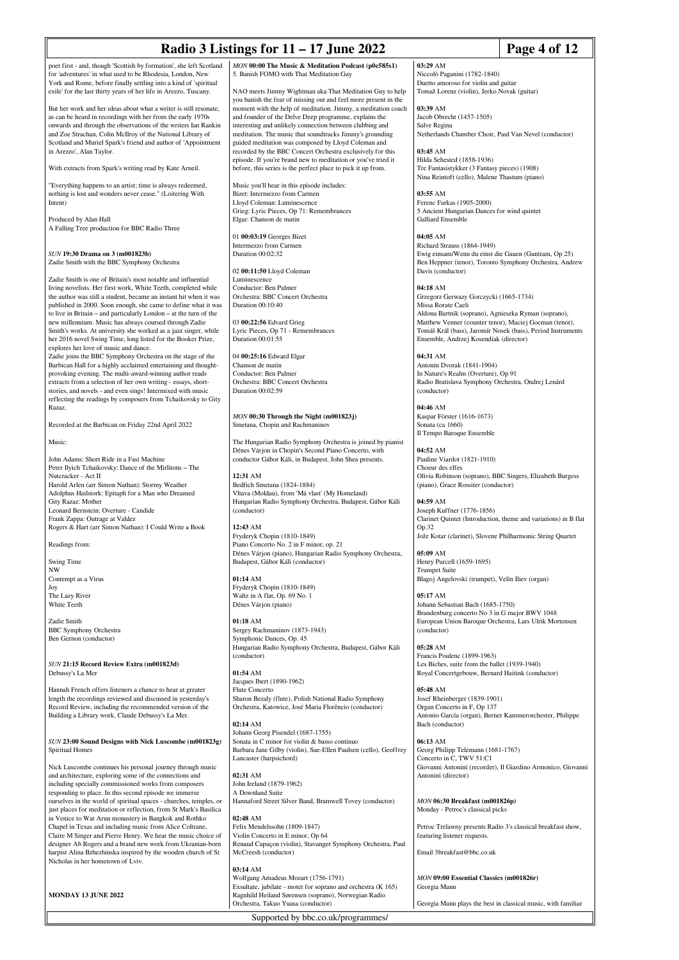| Page 4 of 12<br>Radio 3 Listings for $11 - 17$ June 2022                                                                             |                                                                                                                                  |                                                                                                         |  |
|--------------------------------------------------------------------------------------------------------------------------------------|----------------------------------------------------------------------------------------------------------------------------------|---------------------------------------------------------------------------------------------------------|--|
| poet first - and, though 'Scottish by formation', she left Scotland<br>for 'adventures' in what used to be Rhodesia, London, New     | MON 00:00 The Music & Meditation Podcast (p0c585s1)<br>5. Banish FOMO with That Meditation Guy                                   | 03:29 AM<br>Niccolò Paganini (1782-1840)                                                                |  |
| York and Rome, before finally settling into a kind of 'spiritual<br>exile' for the last thirty years of her life in Arezzo, Tuscany. | NAO meets Jimmy Wightman aka That Meditation Guy to help                                                                         | Duetto amoroso for violin and guitar<br>Tomaž Lorenz (violin), Jerko Novak (guitar)                     |  |
| But her work and her ideas about what a writer is still resonate,                                                                    | you banish the fear of missing out and feel more present in the<br>moment with the help of meditation. Jimmy, a meditation coach | 03:39 AM                                                                                                |  |
| as can be heard in recordings with her from the early 1970s                                                                          | and founder of the Delve Deep programme, explains the                                                                            | Jacob Obrecht (1457-1505)                                                                               |  |
| onwards and through the observations of the writers Ian Rankin                                                                       | interesting and unlikely connection between clubbing and                                                                         | Salve Regina                                                                                            |  |
| and Zoe Strachan, Colin McIlroy of the National Library of<br>Scotland and Muriel Spark's friend and author of 'Appointment          | meditation. The music that soundtracks Jimmy's grounding<br>guided meditation was composed by Lloyd Coleman and                  | Netherlands Chamber Choir, Paul Van Nevel (conductor)                                                   |  |
| in Arezzo', Alan Taylor.                                                                                                             | recorded by the BBC Concert Orchestra exclusively for this                                                                       | 03:45 AM                                                                                                |  |
|                                                                                                                                      | episode. If you're brand new to meditation or you've tried it                                                                    | Hilda Sehested (1858-1936)                                                                              |  |
| With extracts from Spark's writing read by Kate Arneil.                                                                              | before, this series is the perfect place to pick it up from.                                                                     | Tre Fantasistykker (3 Fantasy pieces) (1908)<br>Nina Reintoft (cello), Malene Thastum (piano)           |  |
| "Everything happens to an artist; time is always redeemed,                                                                           | Music you'll hear in this episode includes:                                                                                      |                                                                                                         |  |
| nothing is lost and wonders never cease." (Loitering With                                                                            | Bizet: Intermezzo from Carmen                                                                                                    | 03:55 AM                                                                                                |  |
| Intent)                                                                                                                              | Lloyd Coleman: Luminescence<br>Grieg: Lyric Pieces, Op 71: Remembrances                                                          | Ferenc Farkas (1905-2000)<br>5 Ancient Hungarian Dances for wind quintet                                |  |
| Produced by Alan Hall                                                                                                                | Elgar: Chanson de matin                                                                                                          | <b>Galliard Ensemble</b>                                                                                |  |
| A Falling Tree production for BBC Radio Three                                                                                        | 01 00:03:19 Georges Bizet                                                                                                        | 04:05 AM                                                                                                |  |
|                                                                                                                                      | Intermezzo from Carmen                                                                                                           | Richard Strauss (1864-1949)                                                                             |  |
| SUN 19:30 Drama on 3 (m001823b)                                                                                                      | Duration 00:02:32                                                                                                                | Ewig einsam/Wenn du einst die Gauen (Guntram, Op 25)                                                    |  |
| Zadie Smith with the BBC Symphony Orchestra                                                                                          | 02 00:11:50 Lloyd Coleman                                                                                                        | Ben Heppner (tenor), Toronto Symphony Orchestra, Andrew<br>Davis (conductor)                            |  |
| Zadie Smith is one of Britain's most notable and influential                                                                         | Luminescence                                                                                                                     |                                                                                                         |  |
| living novelists. Her first work, White Teeth, completed while                                                                       | Conductor: Ben Palmer                                                                                                            | 04:18 AM                                                                                                |  |
| the author was still a student, became an instant hit when it was<br>published in 2000. Soon enough, she came to define what it was  | Orchestra: BBC Concert Orchestra<br>Duration 00:10:40                                                                            | Grzegorz Gerwazy Gorczycki (1665-1734)<br>Missa Rorate Caeli                                            |  |
| to live in Britain – and particularly London – at the turn of the                                                                    |                                                                                                                                  | Aldona Bartnik (soprano), Agnieszka Ryman (soprano),                                                    |  |
| new millennium. Music has always coursed through Zadie                                                                               | 03 00:22:56 Edvard Grieg                                                                                                         | Matthew Venner (counter tenor), Maciej Gocman (tenor),                                                  |  |
| Smith's works. At university she worked as a jazz singer, while<br>her 2016 novel Swing Time, long listed for the Booker Prize,      | Lyric Pieces, Op 71 - Remembrances<br>Duration 00:01:55                                                                          | Tomáš Král (bass), Jaromír Nosek (bass), Period Instruments<br>Ensemble, Andrzej Kosendiak (director)   |  |
| explores her love of music and dance.                                                                                                |                                                                                                                                  |                                                                                                         |  |
| Zadie joins the BBC Symphony Orchestra on the stage of the                                                                           | 04 00:25:16 Edward Elgar                                                                                                         | 04:31 AM                                                                                                |  |
| Barbican Hall for a highly acclaimed entertaining and thought-<br>provoking evening. The multi-award-winning author reads            | Chanson de matin<br>Conductor: Ben Palmer                                                                                        | Antonin Dvorak (1841-1904)<br>In Nature's Realm (Overture), Op 91                                       |  |
| extracts from a selection of her own writing - essays, short-                                                                        | Orchestra: BBC Concert Orchestra                                                                                                 | Radio Bratislava Symphony Orchestra, Ondrej Lenárd                                                      |  |
| stories, and novels - and even sings! Intermixed with music                                                                          | Duration 00:02:59                                                                                                                | (conductor)                                                                                             |  |
| reflecting the readings by composers from Tchaikovsky to Gity<br>Razaz.                                                              |                                                                                                                                  | 04:46 AM                                                                                                |  |
|                                                                                                                                      | MON 00:30 Through the Night (m001823j)                                                                                           | Kaspar Förster (1616-1673)                                                                              |  |
| Recorded at the Barbican on Friday 22nd April 2022                                                                                   | Smetana, Chopin and Rachmaninov                                                                                                  | Sonata (ca 1660)<br>Il Tempo Baroque Ensemble                                                           |  |
| Music:                                                                                                                               | The Hungarian Radio Symphony Orchestra is joined by pianist                                                                      |                                                                                                         |  |
|                                                                                                                                      | Dénes Várjon in Chopin's Second Piano Concerto, with                                                                             | 04:52 AM                                                                                                |  |
| John Adams: Short Ride in a Fast Machine<br>Peter Ilyich Tchaikovsky: Dance of the Mirlitons - The                                   | conductor Gábor Káli, in Budapest. John Shea presents.                                                                           | Pauline Viardot (1821-1910)<br>Choeur des elfes                                                         |  |
| Nutcracker - Act II                                                                                                                  | 12:31 AM                                                                                                                         | Olivia Robinson (soprano), BBC Singers, Elizabeth Burgess                                               |  |
| Harold Arlen (arr Simon Nathan): Stormy Weather                                                                                      | Bedřich Smetana (1824-1884)<br>Vltava (Moldau), from 'Má vlasť (My Homeland)                                                     | (piano), Grace Rossiter (conductor)                                                                     |  |
| Adolphus Hailstork: Epitaph for a Man who Dreamed<br>Gity Razaz: Mother                                                              | Hungarian Radio Symphony Orchestra, Budapest, Gábor Káli                                                                         | 04:59 AM                                                                                                |  |
| Leonard Bernstein: Overture - Candide                                                                                                | (conductor)                                                                                                                      | Joseph Kuffner (1776-1856)                                                                              |  |
| Frank Zappa: Outrage at Valdez<br>Rogers & Hart (arr Simon Nathan): I Could Write a Book                                             | 12:43 AM                                                                                                                         | Clarinet Quintet (Introduction, theme and variations) in B flat<br>Op.32                                |  |
|                                                                                                                                      | Fryderyk Chopin (1810-1849)                                                                                                      | Jože Kotar (clarinet), Slovene Philharmonic String Quartet                                              |  |
| Readings from:                                                                                                                       | Piano Concerto No. 2 in F minor, op. 21                                                                                          |                                                                                                         |  |
| <b>Swing Time</b>                                                                                                                    | Dénes Várjon (piano), Hungarian Radio Symphony Orchestra,<br>Budapest, Gábor Káli (conductor)                                    | 05:09 AM<br>Henry Purcell (1659-1695)                                                                   |  |
| NW                                                                                                                                   |                                                                                                                                  | <b>Trumpet Suite</b>                                                                                    |  |
| Contempt as a Virus<br>Joy                                                                                                           | $01:14 \text{ AM}$<br>Fryderyk Chopin (1810-1849)                                                                                | Blagoj Angelovski (trumpet), Velin Iliev (organ)                                                        |  |
| The Lazy River                                                                                                                       | Waltz in A flat, Op. 69 No. 1                                                                                                    | 05:17 AM                                                                                                |  |
| White Teeth                                                                                                                          | Dénes Várjon (piano)                                                                                                             | Johann Sebastian Bach (1685-1750)                                                                       |  |
| Zadie Smith                                                                                                                          | $01:18 \text{ AM}$                                                                                                               | Brandenburg concerto No 3 in G major BWV 1048<br>European Union Baroque Orchestra, Lars Ulrik Mortensen |  |
| <b>BBC</b> Symphony Orchestra                                                                                                        | Sergey Rachmaninov (1873-1943)                                                                                                   | (conductor)                                                                                             |  |
| Ben Gernon (conductor)                                                                                                               | Symphonic Dances, Op. 45<br>Hungarian Radio Symphony Orchestra, Budapest, Gábor Káli                                             | 05:28 AM                                                                                                |  |
|                                                                                                                                      | (conductor)                                                                                                                      | Francis Poulenc (1899-1963)                                                                             |  |
| SUN 21:15 Record Review Extra (m001823d)                                                                                             |                                                                                                                                  | Les Biches, suite from the ballet (1939-1940)                                                           |  |
| Debussy's La Mer                                                                                                                     | 01:54 AM<br>Jacques Ibert (1890-1962)                                                                                            | Royal Concertgebouw, Bernard Haitink (conductor)                                                        |  |
| Hannah French offers listeners a chance to hear at greater                                                                           | Flute Concerto                                                                                                                   | 05:48 AM                                                                                                |  |
| length the recordings reviewed and discussed in yesterday's<br>Record Review, including the recommended version of the               | Sharon Bezaly (flute), Polish National Radio Symphony<br>Orchestra, Katowice, José Maria Florêncio (conductor)                   | Josef Rheinberger (1839-1901)<br>Organ Concerto in F, Op 137                                            |  |
| Building a Library work, Claude Debussy's La Mer.                                                                                    |                                                                                                                                  | Antonio García (organ), Berner Kammerorchester, Philippe                                                |  |
|                                                                                                                                      | 02:14 AM                                                                                                                         | Bach (conductor)                                                                                        |  |
| SUN 23:00 Sound Designs with Nick Luscombe (m001823g)                                                                                | Johann Georg Pisendel (1687-1755)<br>Sonata in C minor for violin & basso continuo                                               | 06:13 AM                                                                                                |  |
| Spiritual Homes                                                                                                                      | Barbara Jane Gilby (violin), Sue-Ellen Paulsen (cello), Geoffrey                                                                 | Georg Philipp Telemann (1681-1767)                                                                      |  |
|                                                                                                                                      | Lancaster (harpsichord)                                                                                                          | Concerto in C, TWV 51:C1                                                                                |  |
| Nick Luscombe continues his personal journey through music<br>and architecture, exploring some of the connections and                | 02:31 AM                                                                                                                         | Giovanni Antonini (recorder), Il Giardino Armonico, Giovann<br>Antonini (director)                      |  |
| including specially commissioned works from composers                                                                                | John Ireland (1879-1962)                                                                                                         |                                                                                                         |  |
| responding to place. In this second episode we immerse<br>ourselves in the world of spiritual spaces - churches, temples, or         | A Downland Suite<br>Hannaford Street Silver Band, Bramwell Tovey (conductor)                                                     | MON 06:30 Breakfast (m001826p)                                                                          |  |
| just places for meditation or reflection, from St Mark's Basilica                                                                    |                                                                                                                                  | Monday - Petroc's classical picks                                                                       |  |
| in Venice to Wat Arun monastery in Bangkok and Rothko                                                                                | 02:48 AM                                                                                                                         |                                                                                                         |  |
| Chapel in Texas and including music from Alice Coltrane,<br>Claire M Singer and Pierre Henry. We hear the music choice of            | Felix Mendelssohn (1809-1847)<br>Violin Concerto in E minor, Op 64                                                               | Petroc Trelawny presents Radio 3's classical breakfast show,<br>featuring listener requests.            |  |
| designer Ab Rogers and a brand new work from Ukranian-born                                                                           | Renaud Capuçon (violin), Stavanger Symphony Orchestra, Paul                                                                      |                                                                                                         |  |
| harpist Alina Bzhezhinska inspired by the wooden church of St                                                                        | McCreesh (conductor)                                                                                                             | Email 3breakfast@bbc.co.uk                                                                              |  |
| Nicholas in her hometown of Lviv.                                                                                                    | 03:14 AM                                                                                                                         |                                                                                                         |  |
|                                                                                                                                      | Wolfgang Amadeus Mozart (1756-1791)                                                                                              | MON 09:00 Essential Classics (m001826r)                                                                 |  |
| <b>MONDAY 13 JUNE 2022</b>                                                                                                           | Exsultate, jubilate - motet for soprano and orchestra (K 165)<br>Ragnhild Heiland Sørensen (soprano), Norwegian Radio            | Georgia Mann                                                                                            |  |
|                                                                                                                                      | Orchestra, Takuo Yuasa (conductor)                                                                                               | Georgia Mann plays the best in classical music, with familiar                                           |  |

Supported by bbc.co.uk/programmes/

Georgia Mann plays the best in classical music, with familiar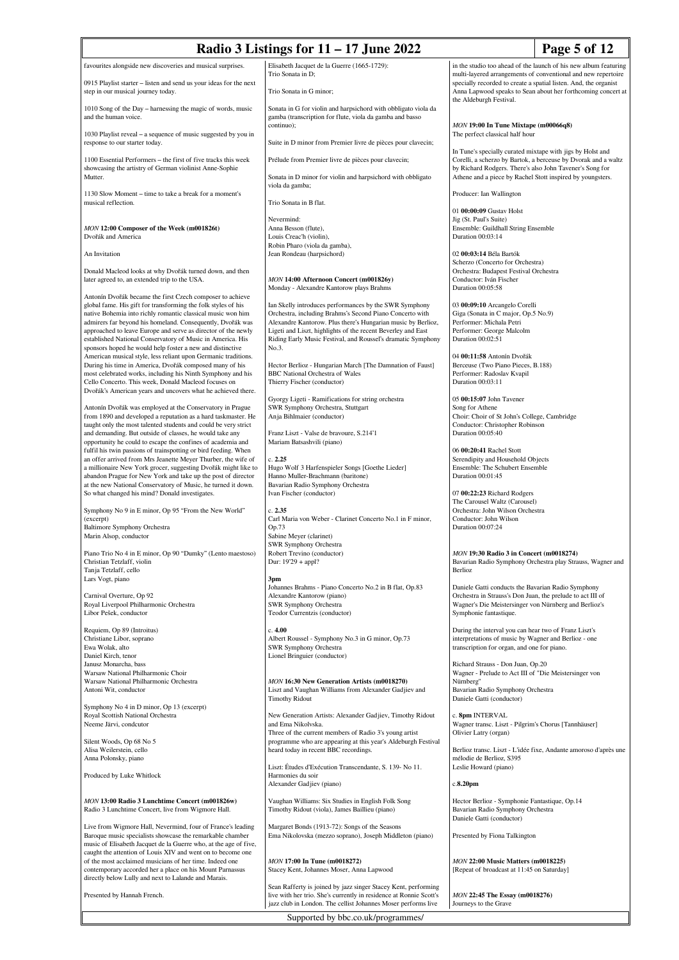| Radio 3 Listings for 11 - 17 June 2022                                                                                                                                                                                                                                                                                                                                                                                                                                                                                                                                           |                                                                                                                                                                                                                                                                                                                                                                                          |                                                                                                                                                                                                                        | Page 5 of 12                                                     |
|----------------------------------------------------------------------------------------------------------------------------------------------------------------------------------------------------------------------------------------------------------------------------------------------------------------------------------------------------------------------------------------------------------------------------------------------------------------------------------------------------------------------------------------------------------------------------------|------------------------------------------------------------------------------------------------------------------------------------------------------------------------------------------------------------------------------------------------------------------------------------------------------------------------------------------------------------------------------------------|------------------------------------------------------------------------------------------------------------------------------------------------------------------------------------------------------------------------|------------------------------------------------------------------|
| favourites alongside new discoveries and musical surprises.                                                                                                                                                                                                                                                                                                                                                                                                                                                                                                                      | Elisabeth Jacquet de la Guerre (1665-1729):<br>Trio Sonata in D;                                                                                                                                                                                                                                                                                                                         |                                                                                                                                                                                                                        | in the studio too ahead of the launch of his new album featuring |
| 0915 Playlist starter - listen and send us your ideas for the next<br>step in our musical journey today.                                                                                                                                                                                                                                                                                                                                                                                                                                                                         | Trio Sonata in G minor;                                                                                                                                                                                                                                                                                                                                                                  | multi-layered arrangements of conventional and new repertoire<br>specially recorded to create a spatial listen. And, the organist<br>Anna Lapwood speaks to Sean about her forthcoming concert at                      |                                                                  |
| 1010 Song of the Day - harnessing the magic of words, music<br>and the human voice.                                                                                                                                                                                                                                                                                                                                                                                                                                                                                              | Sonata in G for violin and harpsichord with obbligato viola da<br>gamba (transcription for flute, viola da gamba and basso                                                                                                                                                                                                                                                               | the Aldeburgh Festival.                                                                                                                                                                                                |                                                                  |
| 1030 Playlist reveal - a sequence of music suggested by you in                                                                                                                                                                                                                                                                                                                                                                                                                                                                                                                   | continuo);                                                                                                                                                                                                                                                                                                                                                                               | MON 19:00 In Tune Mixtape (m00066q8)<br>The perfect classical half hour                                                                                                                                                |                                                                  |
| response to our starter today.<br>1100 Essential Performers - the first of five tracks this week                                                                                                                                                                                                                                                                                                                                                                                                                                                                                 | Suite in D minor from Premier livre de pièces pour clavecin;<br>Prélude from Premier livre de pièces pour clavecin;                                                                                                                                                                                                                                                                      | In Tune's specially curated mixtape with jigs by Holst and<br>Corelli, a scherzo by Bartok, a berceuse by Dvorak and a waltz                                                                                           |                                                                  |
| showcasing the artistry of German violinist Anne-Sophie<br>Mutter.                                                                                                                                                                                                                                                                                                                                                                                                                                                                                                               | Sonata in D minor for violin and harpsichord with obbligato<br>viola da gamba;                                                                                                                                                                                                                                                                                                           | by Richard Rodgers. There's also John Tavener's Song for<br>Athene and a piece by Rachel Stott inspired by youngsters.                                                                                                 |                                                                  |
| 1130 Slow Moment - time to take a break for a moment's<br>musical reflection.                                                                                                                                                                                                                                                                                                                                                                                                                                                                                                    | Trio Sonata in B flat.                                                                                                                                                                                                                                                                                                                                                                   | Producer: Ian Wallington                                                                                                                                                                                               |                                                                  |
| MON 12:00 Composer of the Week (m001826t)<br>Dvořák and America                                                                                                                                                                                                                                                                                                                                                                                                                                                                                                                  | Nevermind:<br>Anna Besson (flute),<br>Louis Creac'h (violin),                                                                                                                                                                                                                                                                                                                            | 01 00:00:09 Gustav Holst<br>Jig (St. Paul's Suite)<br>Ensemble: Guildhall String Ensemble<br>Duration 00:03:14                                                                                                         |                                                                  |
| An Invitation                                                                                                                                                                                                                                                                                                                                                                                                                                                                                                                                                                    | Robin Pharo (viola da gamba),<br>Jean Rondeau (harpsichord)                                                                                                                                                                                                                                                                                                                              | 02 00:03:14 Béla Bartók                                                                                                                                                                                                |                                                                  |
| Donald Macleod looks at why Dvořák turned down, and then<br>later agreed to, an extended trip to the USA.                                                                                                                                                                                                                                                                                                                                                                                                                                                                        | MON 14:00 Afternoon Concert (m001826y)<br>Monday - Alexandre Kantorow plays Brahms                                                                                                                                                                                                                                                                                                       | Scherzo (Concerto for Orchestra)<br>Orchestra: Budapest Festival Orchestra<br>Conductor: Iván Fischer<br>Duration 00:05:58                                                                                             |                                                                  |
| Antonín Dvořák became the first Czech composer to achieve<br>global fame. His gift for transforming the folk styles of his<br>native Bohemia into richly romantic classical music won him<br>admirers far beyond his homeland. Consequently, Dvořák was<br>approached to leave Europe and serve as director of the newly<br>established National Conservatory of Music in America. His<br>sponsors hoped he would help foster a new and distinctive<br>American musical style, less reliant upon Germanic traditions.<br>During his time in America, Dvořák composed many of his | Ian Skelly introduces performances by the SWR Symphony<br>Orchestra, including Brahms's Second Piano Concerto with<br>Alexandre Kantorow. Plus there's Hungarian music by Berlioz,<br>Ligeti and Liszt, highlights of the recent Beverley and East<br>Riding Early Music Festival, and Roussel's dramatic Symphony<br>No.3.<br>Hector Berlioz - Hungarian March [The Damnation of Faust] | 03 00:09:10 Arcangelo Corelli<br>Giga (Sonata in C major, Op.5 No.9)<br>Performer: Michala Petri<br>Performer: George Malcolm<br>Duration 00:02:51<br>04 00:11:58 Antonín Dvořák<br>Berceuse (Two Piano Pieces, B.188) |                                                                  |
| most celebrated works, including his Ninth Symphony and his<br>Cello Concerto. This week, Donald Macleod focuses on<br>Dvořák's American years and uncovers what he achieved there.                                                                                                                                                                                                                                                                                                                                                                                              | <b>BBC</b> National Orchestra of Wales<br>Thierry Fischer (conductor)                                                                                                                                                                                                                                                                                                                    | Performer: Radoslav Kvapil<br>Duration 00:03:11                                                                                                                                                                        |                                                                  |
| Antonín Dvořák was employed at the Conservatory in Prague<br>from 1890 and developed a reputation as a hard taskmaster. He<br>taught only the most talented students and could be very strict<br>and demanding. But outside of classes, he would take any                                                                                                                                                                                                                                                                                                                        | Gyorgy Ligeti - Ramifications for string orchestra<br>SWR Symphony Orchestra, Stuttgart<br>Anja Bihlmaier (conductor)<br>Franz Liszt - Valse de bravoure, S.214'1                                                                                                                                                                                                                        | 05 00:15:07 John Tavener<br>Song for Athene<br>Choir: Choir of St John's College, Cambridge<br>Conductor: Christopher Robinson<br>Duration 00:05:40                                                                    |                                                                  |
| opportunity he could to escape the confines of academia and<br>fulfil his twin passions of trainspotting or bird feeding. When<br>an offer arrived from Mrs Jeanette Meyer Thurber, the wife of<br>a millionaire New York grocer, suggesting Dvořák might like to<br>abandon Prague for New York and take up the post of director<br>at the new National Conservatory of Music, he turned it down.<br>So what changed his mind? Donald investigates.                                                                                                                             | Mariam Batsashvili (piano)<br>c. 2.25<br>Hugo Wolf 3 Harfenspieler Songs [Goethe Lieder]<br>Hanno Muller-Brachmann (baritone)<br>Bavarian Radio Symphony Orchestra<br>Ivan Fischer (conductor)                                                                                                                                                                                           | 06 00:20:41 Rachel Stott<br>Serendipity and Household Objects<br>Ensemble: The Schubert Ensemble<br>Duration 00:01:45<br>07 00:22:23 Richard Rodgers                                                                   |                                                                  |
| Symphony No 9 in E minor, Op 95 "From the New World"<br>(excerpt)<br><b>Baltimore Symphony Orchestra</b>                                                                                                                                                                                                                                                                                                                                                                                                                                                                         | c. 2.35<br>Carl Maria von Weber - Clarinet Concerto No.1 in F minor,<br>Op.73                                                                                                                                                                                                                                                                                                            | The Carousel Waltz (Carousel)<br>Orchestra: John Wilson Orchestra<br>Conductor: John Wilson<br>Duration 00:07:24                                                                                                       |                                                                  |
| Marin Alsop, conductor<br>Piano Trio No 4 in E minor, Op 90 "Dumky" (Lento maestoso)<br>Christian Tetzlaff, violin<br>Tanja Tetzlaff, cello                                                                                                                                                                                                                                                                                                                                                                                                                                      | Sabine Meyer (clarinet)<br>SWR Symphony Orchestra<br>Robert Trevino (conductor)<br>Dur: $19'29 + apply?$                                                                                                                                                                                                                                                                                 | <b>MON 19:30 Radio 3 in Concert (m0018274)</b><br>Berlioz                                                                                                                                                              | Bavarian Radio Symphony Orchestra play Strauss, Wagner and       |
| Lars Vogt, piano<br>Carnival Overture, Op 92<br>Royal Liverpool Philharmonic Orchestra<br>Libor Pešek, conductor                                                                                                                                                                                                                                                                                                                                                                                                                                                                 | 3pm<br>Johannes Brahms - Piano Concerto No.2 in B flat, Op.83<br>Alexandre Kantorow (piano)<br><b>SWR Symphony Orchestra</b><br>Teodor Currentzis (conductor)                                                                                                                                                                                                                            | Daniele Gatti conducts the Bavarian Radio Symphony<br>Orchestra in Strauss's Don Juan, the prelude to act III of<br>Wagner's Die Meistersinger von Nürnberg and Berlioz's<br>Symphonie fantastique.                    |                                                                  |
| Requiem, Op 89 (Introitus)<br>Christiane Libor, soprano<br>Ewa Wolak, alto<br>Daniel Kirch, tenor                                                                                                                                                                                                                                                                                                                                                                                                                                                                                | c. 4.00<br>Albert Roussel - Symphony No.3 in G minor, Op.73<br><b>SWR Symphony Orchestra</b><br>Lionel Bringuier (conductor)                                                                                                                                                                                                                                                             | During the interval you can hear two of Franz Liszt's<br>interpretations of music by Wagner and Berlioz - one<br>transcription for organ, and one for piano.                                                           |                                                                  |
| Janusz Monarcha, bass<br>Warsaw National Philharmonic Choir<br>Warsaw National Philharmonic Orchestra<br>Antoni Wit, conductor                                                                                                                                                                                                                                                                                                                                                                                                                                                   | MON 16:30 New Generation Artists (m0018270)<br>Liszt and Vaughan Williams from Alexander Gadjiev and<br><b>Timothy Ridout</b>                                                                                                                                                                                                                                                            | Richard Strauss - Don Juan, Op.20<br>Wagner - Prelude to Act III of "Die Meistersinger von<br>Nürnberg"<br>Bavarian Radio Symphony Orchestra<br>Daniele Gatti (conductor)                                              |                                                                  |
| Symphony No 4 in D minor, Op 13 (excerpt)<br>Royal Scottish National Orchestra<br>Neeme Järvi, condcutor                                                                                                                                                                                                                                                                                                                                                                                                                                                                         | New Generation Artists: Alexander Gadjiev, Timothy Ridout<br>and Ema Nikolvska.<br>Three of the current members of Radio 3's young artist                                                                                                                                                                                                                                                | c. 8pm INTERVAL<br>Wagner transc. Liszt - Pilgrim's Chorus [Tannhäuser]<br>Olivier Latry (organ)                                                                                                                       |                                                                  |
| Silent Woods, Op 68 No 5<br>Alisa Weilerstein, cello<br>Anna Polonsky, piano                                                                                                                                                                                                                                                                                                                                                                                                                                                                                                     | programme who are appearing at this year's Aldeburgh Festival<br>heard today in recent BBC recordings.<br>Liszt: Études d'Exécution Transcendante, S. 139- No 11.<br>Harmonies du soir                                                                                                                                                                                                   | mélodie de Berlioz, S395<br>Leslie Howard (piano)                                                                                                                                                                      | Berlioz transc. Liszt - L'idée fixe, Andante amoroso d'après une |
| Produced by Luke Whitlock                                                                                                                                                                                                                                                                                                                                                                                                                                                                                                                                                        | Alexander Gadjiev (piano)                                                                                                                                                                                                                                                                                                                                                                | c.8.20pm                                                                                                                                                                                                               |                                                                  |
| MON 13:00 Radio 3 Lunchtime Concert (m001826w)<br>Radio 3 Lunchtime Concert, live from Wigmore Hall.                                                                                                                                                                                                                                                                                                                                                                                                                                                                             | Vaughan Williams: Six Studies in English Folk Song<br>Timothy Ridout (viola), James Baillieu (piano)                                                                                                                                                                                                                                                                                     | Hector Berlioz - Symphonie Fantastique, Op.14<br>Bavarian Radio Symphony Orchestra<br>Daniele Gatti (conductor)                                                                                                        |                                                                  |
| Live from Wigmore Hall, Nevermind, four of France's leading<br>Baroque music specialists showcase the remarkable chamber<br>music of Elisabeth Jacquet de la Guerre who, at the age of five,                                                                                                                                                                                                                                                                                                                                                                                     | Margaret Bonds (1913-72): Songs of the Seasons<br>Ema Nikolovska (mezzo soprano), Joseph Middleton (piano)                                                                                                                                                                                                                                                                               | Presented by Fiona Talkington                                                                                                                                                                                          |                                                                  |
| caught the attention of Louis XIV and went on to become one<br>of the most acclaimed musicians of her time. Indeed one<br>contemporary accorded her a place on his Mount Parnassus<br>directly below Lully and next to Lalande and Marais.                                                                                                                                                                                                                                                                                                                                       | MON 17:00 In Tune (m0018272)<br>Stacey Kent, Johannes Moser, Anna Lapwood                                                                                                                                                                                                                                                                                                                | <b>MON 22:00 Music Matters (m0018225)</b><br>[Repeat of broadcast at 11:45 on Saturday]                                                                                                                                |                                                                  |

Presented by Hannah French.

Supported by bbc.co.uk/programmes/

Sean Rafferty is joined by jazz singer Stacey Kent, performing live with her trio. She's currently in residence at Ronnie Scott's jazz club in London. The cellist Johannes Moser performs live

*MON* **22:45 The Essay (m0018276)** Journeys to the Grave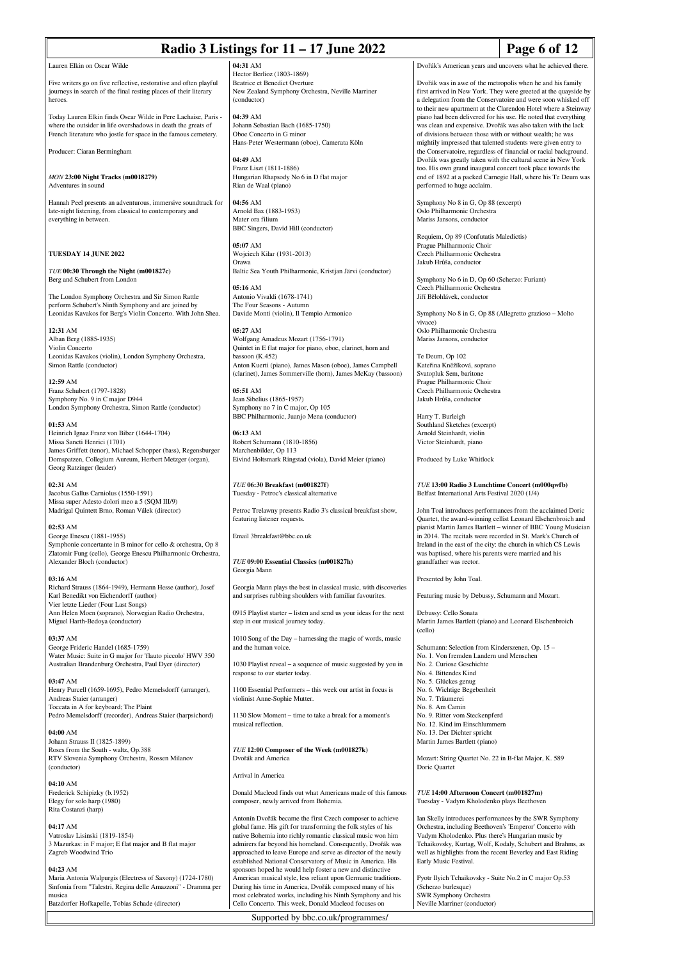|                                                                                                                                                                                                    | Radio 3 Listings for $11 - 17$ June 2022                                                                                                                                                                                                                                                                                                                                               |                                                                                         |
|----------------------------------------------------------------------------------------------------------------------------------------------------------------------------------------------------|----------------------------------------------------------------------------------------------------------------------------------------------------------------------------------------------------------------------------------------------------------------------------------------------------------------------------------------------------------------------------------------|-----------------------------------------------------------------------------------------|
| Lauren Elkin on Oscar Wilde                                                                                                                                                                        | 04:31 AM                                                                                                                                                                                                                                                                                                                                                                               | Dvořák's A                                                                              |
| Five writers go on five reflective, restorative and often playful<br>journeys in search of the final resting places of their literary<br>heroes.                                                   | Hector Berlioz (1803-1869)<br>Beatrice et Benedict Overture<br>New Zealand Symphony Orchestra, Neville Marriner<br>(conductor)                                                                                                                                                                                                                                                         | Dvořák was<br>first arrived<br>a delegation                                             |
| Today Lauren Elkin finds Oscar Wilde in Pere Lachaise, Paris -<br>where the outsider in life overshadows in death the greats of<br>French literature who jostle for space in the famous cemetery.  | 04:39 AM<br>Johann Sebastian Bach (1685-1750)<br>Oboe Concerto in G minor                                                                                                                                                                                                                                                                                                              | to their new<br>piano had b<br>was clean a<br>of divisions                              |
| Producer: Ciaran Bermingham                                                                                                                                                                        | Hans-Peter Westermann (oboe), Camerata Köln                                                                                                                                                                                                                                                                                                                                            | mightily im<br>the Conserv                                                              |
| MON 23:00 Night Tracks (m0018279)<br>Adventures in sound                                                                                                                                           | 04:49 AM<br>Franz Liszt (1811-1886)<br>Hungarian Rhapsody No 6 in D flat major<br>Rian de Waal (piano)                                                                                                                                                                                                                                                                                 | Dvořák was<br>too. His ow<br>end of 1892<br>performed t                                 |
| Hannah Peel presents an adventurous, immersive soundtrack for<br>late-night listening, from classical to contemporary and<br>everything in between.                                                | 04:56 AM<br>Arnold Bax (1883-1953)<br>Mater ora filium<br>BBC Singers, David Hill (conductor)                                                                                                                                                                                                                                                                                          | Symphony 1<br>Oslo Philha<br>Mariss Jans                                                |
| <b>TUESDAY 14 JUNE 2022</b>                                                                                                                                                                        | 05:07 AM<br>Wojciech Kilar (1931-2013)<br>Orawa                                                                                                                                                                                                                                                                                                                                        | Requiem, C<br>Prague Phil<br><b>Czech Phill</b><br>Jakub Hrůš:                          |
| TUE 00:30 Through the Night (m001827c)<br>Berg and Schubert from London                                                                                                                            | Baltic Sea Youth Philharmonic, Kristjan Järvi (conductor)                                                                                                                                                                                                                                                                                                                              | Symphony 1                                                                              |
| The London Symphony Orchestra and Sir Simon Rattle<br>perform Schubert's Ninth Symphony and are joined by<br>Leonidas Kavakos for Berg's Violin Concerto. With John Shea.                          | $05:16$ AM<br>Antonio Vivaldi (1678-1741)<br>The Four Seasons - Autumn<br>Davide Monti (violin), Il Tempio Armonico                                                                                                                                                                                                                                                                    | <b>Czech Phill</b><br>Jiří Bělohlá<br>Symphony 1                                        |
| 12:31 AM<br>Alban Berg (1885-1935)<br>Violin Concerto                                                                                                                                              | 05:27 AM<br>Wolfgang Amadeus Mozart (1756-1791)<br>Quintet in E flat major for piano, oboe, clarinet, horn and                                                                                                                                                                                                                                                                         | vivace)<br>Oslo Philha<br>Mariss Jans                                                   |
| Leonidas Kavakos (violin), London Symphony Orchestra,<br>Simon Rattle (conductor)                                                                                                                  | bassoon $(K.452)$<br>Anton Kuerti (piano), James Mason (oboe), James Campbell<br>(clarinet), James Sommerville (horn), James McKay (bassoon)                                                                                                                                                                                                                                           | Te Deum, O<br>Kateřina Kr<br>Svatopluk S                                                |
| 12:59 AM<br>Franz Schubert (1797-1828)<br>Symphony No. 9 in C major D944<br>London Symphony Orchestra, Simon Rattle (conductor)                                                                    | 05:51 AM<br>Jean Sibelius (1865-1957)<br>Symphony no 7 in C major, Op 105                                                                                                                                                                                                                                                                                                              | Prague Phil<br>Czech Phill<br>Jakub Hrůš:                                               |
| 01:53 AM<br>Heinrich Ignaz Franz von Biber (1644-1704)<br>Missa Sancti Henrici (1701)                                                                                                              | BBC Philharmonic, Juanjo Mena (conductor)<br>06:13 AM<br>Robert Schumann (1810-1856)                                                                                                                                                                                                                                                                                                   | Harry T. Bu<br>Southland S<br>Arnold Stei<br>Victor Steir                               |
| James Griffett (tenor), Michael Schopper (bass), Regensburger<br>Domspatzen, Collegium Aureum, Herbert Metzger (organ),<br>Georg Ratzinger (leader)                                                | Marchenbilder, Op 113<br>Eivind Holtsmark Ringstad (viola), David Meier (piano)                                                                                                                                                                                                                                                                                                        | Produced b                                                                              |
| 02:31 AM<br>Jacobus Gallus Carniolus (1550-1591)<br>Missa super Adesto dolori meo a 5 (SQM III/9)                                                                                                  | TUE 06:30 Breakfast (m001827f)<br>Tuesday - Petroc's classical alternative                                                                                                                                                                                                                                                                                                             | <b>TUE 13:00</b><br><b>Belfast</b> Inte                                                 |
| Madrigal Quintett Brno, Roman Válek (director)<br>$02:53$ AM                                                                                                                                       | Petroc Trelawny presents Radio 3's classical breakfast show,<br>featuring listener requests.                                                                                                                                                                                                                                                                                           | John Toal in<br>Quartet, the<br>pianist Mar                                             |
| George Enescu (1881-1955)<br>Symphonie concertante in B minor for cello & orchestra, Op 8<br>Zlatomir Fung (cello), George Enescu Philharmonic Orchestra,                                          | Email 3breakfast@bbc.co.uk                                                                                                                                                                                                                                                                                                                                                             | in 2014. Th<br>Ireland in th<br>was baptise                                             |
| Alexander Bloch (conductor)<br>03:16 AM                                                                                                                                                            | TUE 09:00 Essential Classics (m001827h)<br>Georgia Mann                                                                                                                                                                                                                                                                                                                                | grandfather<br>Presented b                                                              |
| Richard Strauss (1864-1949), Hermann Hesse (author), Josef<br>Karl Benedikt von Eichendorff (author)<br>Vier letzte Lieder (Four Last Songs)                                                       | Georgia Mann plays the best in classical music, with discoveries<br>and surprises rubbing shoulders with familiar favourites.                                                                                                                                                                                                                                                          | Featuring m                                                                             |
| Ann Helen Moen (soprano), Norwegian Radio Orchestra,<br>Miguel Harth-Bedoya (conductor)                                                                                                            | 0915 Playlist starter - listen and send us your ideas for the next<br>step in our musical journey today.                                                                                                                                                                                                                                                                               | Debussy: C<br>Martin Jam<br>(cello)                                                     |
| 03:37 AM<br>George Frideric Handel (1685-1759)<br>Water Music: Suite in G major for 'flauto piccolo' HWV 350                                                                                       | 1010 Song of the Day - harnessing the magic of words, music<br>and the human voice.                                                                                                                                                                                                                                                                                                    | Schumann:<br>No. 1. Von                                                                 |
| Australian Brandenburg Orchestra, Paul Dyer (director)                                                                                                                                             | 1030 Playlist reveal - a sequence of music suggested by you in<br>response to our starter today.                                                                                                                                                                                                                                                                                       | No. 2. Curi<br>No. 4. Bitte                                                             |
| 03:47 AM<br>Henry Purcell (1659-1695), Pedro Memelsdorff (arranger),<br>Andreas Staier (arranger)                                                                                                  | 1100 Essential Performers - this week our artist in focus is<br>violinist Anne-Sophie Mutter.                                                                                                                                                                                                                                                                                          | No. 5. Glüc<br>No. 6. Wicl<br>No. 7. Träu                                               |
| Toccata in A for keyboard; The Plaint<br>Pedro Memelsdorff (recorder), Andreas Staier (harpsichord)                                                                                                | 1130 Slow Moment - time to take a break for a moment's<br>musical reflection.                                                                                                                                                                                                                                                                                                          | No. 8. Am<br>No. 9. Ritte<br>No. 12. Kin                                                |
| 04:00 AM<br>Johann Strauss II (1825-1899)<br>Roses from the South - waltz, Op.388<br>RTV Slovenia Symphony Orchestra, Rossen Milanov<br>(conductor)                                                | TUE 12:00 Composer of the Week (m001827k)<br>Dvořák and America                                                                                                                                                                                                                                                                                                                        | No. 13. Der<br>Martin Jam<br>Mozart: Stri                                               |
|                                                                                                                                                                                                    | Arrival in America                                                                                                                                                                                                                                                                                                                                                                     | Doric Quar                                                                              |
| 04:10 AM<br>Frederick Schipizky (b.1952)<br>Elegy for solo harp (1980)                                                                                                                             | Donald Macleod finds out what Americans made of this famous<br>composer, newly arrived from Bohemia.                                                                                                                                                                                                                                                                                   | <b>TUE 14:00</b><br>Tuesday - V                                                         |
| Rita Costanzi (harp)<br>04:17 AM<br>Vatroslav Lisinski (1819-1854)<br>3 Mazurkas: in F major; E flat major and B flat major<br>Zagreb Woodwind Trio                                                | Antonín Dvořák became the first Czech composer to achieve<br>global fame. His gift for transforming the folk styles of his<br>native Bohemia into richly romantic classical music won him<br>admirers far beyond his homeland. Consequently, Dvořák was<br>approached to leave Europe and serve as director of the newly<br>established National Conservatory of Music in America. His | Ian Skelly is<br>Orchestra, i<br>Vadym Kho<br>Tchaikovsk<br>well as high<br>Early Music |
| 04:23 AM<br>Maria Antonia Walpurgis (Electress of Saxony) (1724-1780)<br>Sinfonia from "Talestri, Regina delle Amazzoni" - Dramma per<br>musica<br>Batzdorfer Hofkapelle, Tobias Schade (director) | sponsors hoped he would help foster a new and distinctive<br>American musical style, less reliant upon Germanic traditions.<br>During his time in America, Dvořák composed many of his<br>most celebrated works, including his Ninth Symphony and his<br>Cello Concerto. This week, Donald Macleod focuses on                                                                          | Pyotr Ilyich<br>(Scherzo bu<br>SWR Symp<br>Neville Mar                                  |

Supported by bbc.co.uk/programmes/

## **Page 6 of 12**

merican years and uncovers what he achieved there.

in awe of the metropolis when he and his family in New York. They were greeted at the quayside by n from the Conservatoire and were soon whisked off apartment at the Clarendon Hotel where a Steinway peen delivered for his use. He noted that everything and expensive. Dvořák was also taken with the lack between those with or without wealth; he was npressed that talented students were given entry to vatoire, regardless of financial or racial background. greatly taken with the cultural scene in New York too. His own grand inaugural concert took place towards the end of 1892 at a packed Carnegie Hall, where his Te Deum was to huge acclaim.

No 8 in G, Op 88 (excerpt) armonic Orchestra sons, conductor

Op 89 (Confutatis Maledictis) Iharmonic Choir harmonic Orchestra ia, conductor

No 6 in D, Op 60 (Scherzo: Furiant) harmonic Orchestra ivek, conductor

No 8 in G, Op 88 (Allegretto grazioso – Molto

armonic Orchestra sons, conductor

Op 102 e <sub>ř</sub>ese<br>něžíková, soprano Sem, barito **Iharmonic Choir** harmonic Orchestra ia, conductor

urleigh Sketches (excerpt) inhardt, violin mardt, piano

y Luke Whitlock

*TUE* **13:00 Radio 3 Lunchtime Concert (m000qwfb)** ernational Arts Festival 2020 (1/4)

ntroduces performances from the acclaimed Doric an outcome performances from the accumulate Bone rtin James Bartlett – winner of BBC Young Musician he recitals were recorded in St. Mark's Church of IFFEE IN THE EXPERIENCE IN THE CONDITION CONDITIONS CHARGE TO A LIGHT OF THE CONTROL OF THE CONTROL OF THE CONTROL OF THE CONTROL OF THE CONTROL OF THE CONTROL OF THE CONTROL OF THE CONTROL OF THE CONTROL OF THE CONTROL OF ed, where his parents were married and his grandfather was rector.

by John Toal.

nusic by Debussy, Schumann and Mozart.

Debussy: Cello Sonata nes Bartlett (piano) and Leonard Elschenbroich

Selection from Kinderszenen, Op. 15 –

- No. 1. Von fremden Landern und Menschen iose Geschichte
- endes Kind
- ckes genug
- htige Begebenheit
- merei
- mara.<br>Camin
- No. 9. Ritter vom Steckenpferd No. 12. Kind im Einschlummern
- no. 111. Ethernan
- nes Bartlett (piano)

ing Quartet No. 22 in B-flat Major, K. 589 .<br>اما

*TUE* **14:00 Afternoon Concert (m001827m)** Vadym Kholodenko plays Beethoven

introduces performances by the SWR Symphony Orchestra, including Beethoven's 'Emperor' Concerto with Vadym Kholodenko. Plus there's Hungarian music by ty, Kurtag, Wolf, Kodaly, Schubert and Brahms, as hlights from the recent Beverley and East Riding external.

Tchaikovsky - Suite No.2 in C major Op.53 urlesque) phony Orchestra rriner (conductor)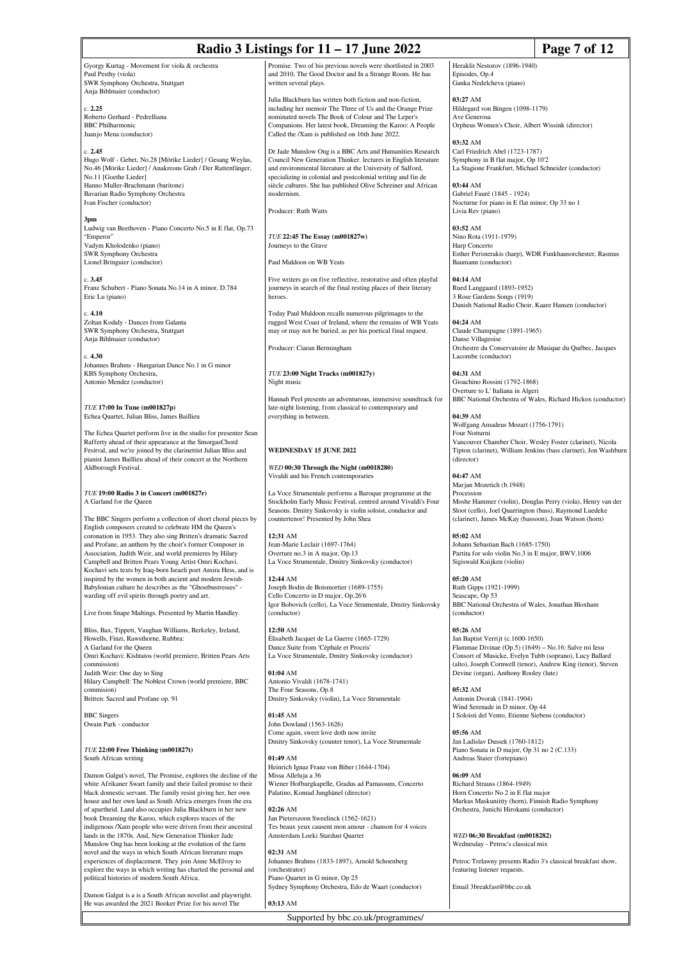# **Radio 3 Listings for 11 – 17 June 2022 Page 7 of 12**

Gyorgy Kurtag - Movement for viola & orchestra Paul Pesthy (viola) SWR Symphony Orchestra, Stuttgart Anja Bihlmaier (conductor)

c. **2.25** Roberto Gerhard - Pedrelliana BBC Philharmonic Juanjo Mena (conductor)

c. **2.45** Hugo Wolf - Gebet, No.28 [Mörike Lieder] / Gesang Weylas, No.46 [Mörike Lieder] / Anakreons Grab / Der Rattenfänger, No.11 [Goethe Lieder] Hanno Muller-Brachmann (baritone) Bavarian Radio Symphony Orchestra Ivan Fischer (conductor)

**3pm** Ludwig van Beethoven - Piano Concerto No.5 in E flat, Op.73 "Emperor" Vadym Kholodenko (piano) SWR Symphony Orchestra Lionel Bringuier (conductor)

c. **3.45** Franz Schubert - Piano Sonata No.14 in A minor, D.784 Eric Lu (piano)

c. **4.10** Zoltan Kodaly - Dances from Galanta SWR Symphony Orchestra, Stuttgart Anja Bihlmaier (conductor)

c. **4.30** Johannes Brahms - Hungarian Dance No.1 in G minor KBS Symphony Orchestra, Antonio Mendez (conductor)

*TUE* **17:00 In Tune (m001827p)** Echea Quartet, Julian Bliss, James Baillieu

The Echea Quartet perform live in the studio for presenter Sean Rafferty ahead of their appearance at the SmorgasChord Fesitval, and we're joined by the clarinettist Julian Bliss and pianist James Baillieu ahead of their concert at the Northern Aldborough Festival.

## *TUE* **19:00 Radio 3 in Concert (m001827r)** A Garland for the Queen

The BBC Singers perform a collection of short choral pieces by English composers created to celebrate HM the Queen's coronation in 1953. They also sing Britten's dramatic Sacred and Profane, an anthem by the choir's former Composer in Association, Judith Weir, and world premieres by Hilary Campbell and Britten Pears Young Artist Omri Kochavi. Kochavi sets texts by Iraq-born Israeli poet Amira Hess, and is inspired by the women in both ancient and modern Jewish-Babylonian culture he describes as the "Ghostbustresses" warding off evil spirits through poetry and art.

Live from Snape Maltings. Presented by Martin Handley.

Bliss, Bax, Tippett, Vaughan Williams, Berkeley, Ireland, Howells, Finzi, Rawsthorne, Rubbra: A Garland for the Queen Omri Kochavi: Kishtatos (world premiere, Britten Pears Arts commission) Judith Weir: One day to Sing Hilary Campbell: The Noblest Crown (world premiere, BBC commision) Britten: Sacred and Profane op. 91 BBC Singers

Owain Park - conductor

*TUE* **22:00 Free Thinking (m001827t)** South African writing

Damon Galgut's novel, The Promise, explores the decline of the white Afrikaner Swart family and their failed promise to their black domestic servant. The family resist giving her, her own house and her own land as South Africa emerges from the era of apartheid. Land also occupies Julia Blackburn in her new book Dreaming the Karoo, which explores traces of the indigenous /Xam people who were driven from their ancestral lands in the 1870s. And, New Generation Thinker Jade Munslow Ong has been looking at the evolution of the farm novel and the ways in which South African literature maps experiences of displacement. They join Anne McElvoy to explore the ways in which writing has charted the personal and political histories of modern South Africa.

Damon Galgut is a is a South African novelist and playwright. He was awarded the 2021 Booker Prize for his novel The

Promise. Two of his previous novels were shortlisted in 2003 and 2010, The Good Doctor and In a Strange Room. He has .<br>everal plays

Julia Blackburn has written both fiction and non-fiction, including her memoir The Three of Us and the Orange Prize nominated novels The Book of Colour and The Leper's Companions. Her latest book, Dreaming the Karoo: A People Called the /Xam is published on 16th June 2022.

Dr Jade Munslow Ong is a BBC Arts and Humanities Research Council New Generation Thinker. lectures in English literature and environmental literature at the University of Salford, specializing in colonial and postcolonial writing and fin de siècle cultures. She has published Olive Schreiner and African modernism.

Producer: Ruth Watts

*TUE* **22:45 The Essay (m001827w)** Journeys to the Grave

**Auldoon on WB Yeats** 

Five writers go on five reflective, restorative and often playful journeys in search of the final resting places of their literary heroes.

Today Paul Muldoon recalls numerous pilgrimages to the rugged West Coast of Ireland, where the remains of WB Yeats may or may not be buried, as per his poetical final request.

Producer: Ciaran Bermingham

*TUE* **23:00 Night Tracks (m001827y)** Night music

Hannah Peel presents an adventurous, immersive soundtrack for late-night listening, from classical to contemporary and everything in between.

## **WEDNESDAY 15 HINE 2022**

*WED* **00:30 Through the Night (m0018280)** Vivaldi and his French contemporaries

La Voce Strumentale performs a Baroque programme at the Stockholm Early Music Festival, centred around Vivaldi's Four Seasons. Dmitry Sinkovsky is violin soloist, conductor and countertenor! Presented by John Shea

**12:31** AM Jean-Marie Leclair (1697-1764) Overture no.3 in A major, Op.13 La Voce Strumentale, Dmitry Sinkovsky (conductor)

**12:44** AM Joseph Bodin de Boismortier (1689-1755) Cello Concerto in D major, Op.26'6 Igor Bobovich (cello), La Voce Strumentale, Dmitry Sinkovsky (conductor)

**12:50** AM Élisabeth Jacquet de La Guerre (1665-1729) Dance Suite from 'Céphale et Procris' La Voce Strumentale, Dmitry Sinkovsky (conductor)

**01:04** AM Antonio Vivaldi (1678-1741) The Four Seasons, Op.8 Dmitry Sinkovsky (violin), La Voce Strumentale

**01:45** AM John Dowland (1563-1626) Come again, sweet love doth now invite Dmitry Sinkovsky (counter tenor), La Voce Strumentale

**01:49** AM Heinrich Ignaz Franz von Biber (1644-1704) Missa Alleluja a 36 Wiener Hofburgkapelle, Gradus ad Parnassum, Concerto Palatino, Konrad Junghänel (director)

**02:26** AM Jan Pieterszoon Sweelinck (1562-1621) Tes beaux yeux causent mon amour - chanson for 4 voices Amsterdam Loeki Stardust Quartet

**02:31** AM Johannes Brahms (1833-1897), Arnold Schoenberg (orchestrator) Piano Quartet in G minor, Op 25 Sydney Symphony Orchestra, Edo de Waart (conductor) **03:13** AM

Supported by bbc.co.uk/programmes/

Heraklit Nestorov (1896-1940) Episodes, Op.4 Ganka Nedelcheva (piano)

**03:27** AM Hildegard von Bingen (1098-1179) Ave Generosa Orpheus Women's Choir, Albert Wissink (director)

**03:32** AM Carl Friedrich Abel (1723-1787) Symphony in B flat major, Op 10'2 La Stagione Frankfurt, Michael Schneider (conductor)

**03:44** AM Gabriel Fauré (1845 - 1924) Nocturne for piano in E flat minor, Op 33 no 1 Livia Rev (piano)

**03:52** AM Nino Rota (1911-1979) Harp Concerto Esther Peristerakis (harp), WDR Funkhausorchester, Rasmus Baumann (conductor)

**04:14** AM Rued Langgaard (1893-1952) 3 Rose Gardens Songs (1919) Danish National Radio Choir, Kaare Hansen (conductor)

**04:24** AM Claude Champagne (1891-1965) Danse Villageoise Orchestre du Conservatoire de Musique du Québec, Jacques Lacombe (conductor)

**04:31** AM Gioachino Rossini (1792-1868) Overture to L' Italiana in Algeri BBC National Orchestra of Wales, Richard Hickox (conductor)

**04:39** AM Wolfgang Amadeus Mozart (1756-1791) Four Notturni Vancouver Chamber Choir, Wesley Foster (clarinet), Nicola Tipton (clarinet), William Jenkins (bass clarinet), Jon Washburn (director)

**04:47** AM Marjan Mozetich (b.1948) Procession Moshe Hammer (violin), Douglas Perry (viola), Henry van der Sloot (cello), Joel Quarrington (bass), Raymond Luedeke (clarinet), James McKay (bassoon), Joan Watson (horn)

**05:02** AM Johann Sebastian Bach (1685-1750) Partita for solo violin No.3 in E major, BWV.1006 Sigiswald Kuijken (violin)

**05:20** AM Ruth Gipps (1921-1999) Seascape, Op 53 BBC National Orchestra of Wales, Jonathan Bloxham (conductor)

**05:26** AM Jan Baptist Verrijt (c.1600-1650) Flammae Divinae (Op.5) (1649) – No.16: Salve mi Iesu Consort of Musicke, Evelyn Tubb (soprano), Lucy Ballard (alto), Joseph Cornwell (tenor), Andrew King (tenor), Steven Devine (organ), Anthony Rooley (lute)

**05:32** AM Antonin Dvorak (1841-1904) Wind Serenade in D minor, Op 44 I Soloisti del Vento, Etienne Siebens (conductor)

**05:56** AM Jan Ladislav Dussek (1760-1812) Piano Sonata in D major, Op 31 no 2 (C.133) Andreas Staier (fortepiano)

**06:09** AM Richard Strauss (1864-1949) Horn Concerto No 2 in E flat major Markus Maskuniitty (horn), Finnish Radio Symphony Orchestra, Junichi Hirokami (conductor)

*WED* **06:30 Breakfast (m0018282)** Wednesday - Petroc's classical mix

Petroc Trelawny presents Radio 3's classical breakfast show, featuring listener requests.

Email 3breakfast@bbc.co.uk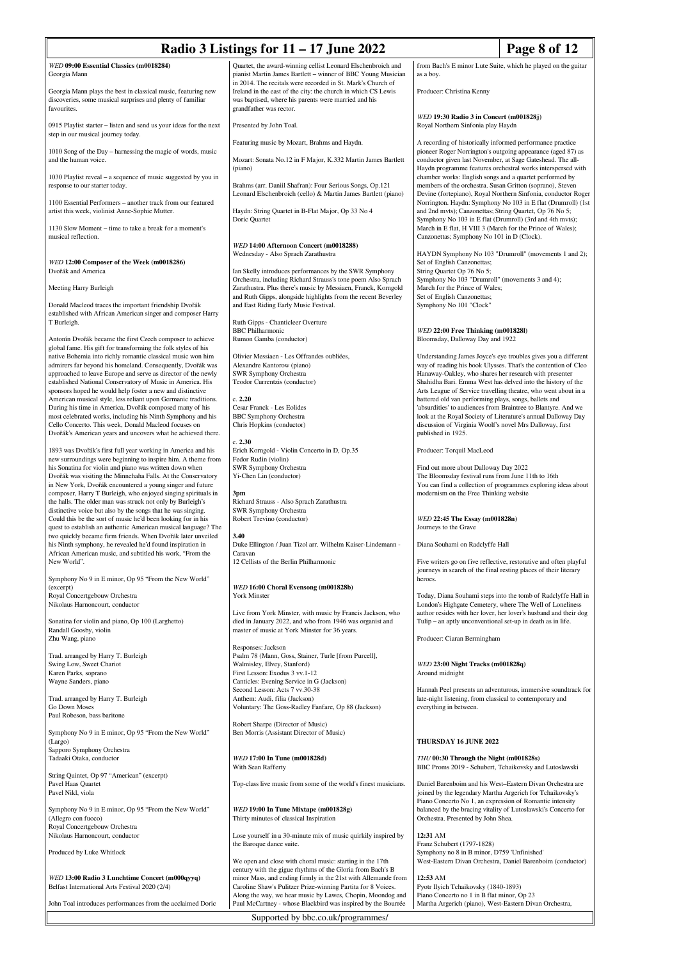| Radio 3 Listings for 11 - 17 June 2022                                                                                                                                                        | Page 8 of 12                                                                                                                                                                                                    |                                                                                                                                                                                            |                                                                                                                                |
|-----------------------------------------------------------------------------------------------------------------------------------------------------------------------------------------------|-----------------------------------------------------------------------------------------------------------------------------------------------------------------------------------------------------------------|--------------------------------------------------------------------------------------------------------------------------------------------------------------------------------------------|--------------------------------------------------------------------------------------------------------------------------------|
| WED 09:00 Essential Classics (m0018284)<br>Georgia Mann                                                                                                                                       | Quartet, the award-winning cellist Leonard Elschenbroich and<br>pianist Martin James Bartlett - winner of BBC Young Musician                                                                                    | from Bach's E minor Lute Suite, which he played on the guitar<br>as a boy.                                                                                                                 |                                                                                                                                |
| Georgia Mann plays the best in classical music, featuring new<br>discoveries, some musical surprises and plenty of familiar<br>favourites.                                                    | in 2014. The recitals were recorded in St. Mark's Church of<br>Ireland in the east of the city: the church in which CS Lewis<br>was baptised, where his parents were married and his<br>grandfather was rector. | Producer: Christina Kenny                                                                                                                                                                  |                                                                                                                                |
| 0915 Playlist starter – listen and send us your ideas for the next<br>step in our musical journey today.                                                                                      | Presented by John Toal.                                                                                                                                                                                         | WED 19:30 Radio 3 in Concert (m001828j)<br>Royal Northern Sinfonia play Haydn                                                                                                              |                                                                                                                                |
| 1010 Song of the Day – harnessing the magic of words, music<br>and the human voice.                                                                                                           | Featuring music by Mozart, Brahms and Haydn.<br>Mozart: Sonata No.12 in F Major, K.332 Martin James Bartlett                                                                                                    | A recording of historically informed performance practice<br>pioneer Roger Norrington's outgoing appearance (aged 87) as<br>conductor given last November, at Sage Gateshead. The all-     |                                                                                                                                |
| 1030 Playlist reveal - a sequence of music suggested by you in                                                                                                                                | (piano)                                                                                                                                                                                                         | Haydn programme features orchestral works interspersed with<br>chamber works: English songs and a quartet performed by                                                                     |                                                                                                                                |
| response to our starter today.<br>1100 Essential Performers - another track from our featured                                                                                                 | Brahms (arr. Daniil Shafran): Four Serious Songs, Op.121<br>Leonard Elschenbroich (cello) & Martin James Bartlett (piano)                                                                                       | members of the orchestra. Susan Gritton (soprano), Steven<br>Devine (fortepiano), Royal Northern Sinfonia, conductor Roger<br>Norrington. Haydn: Symphony No 103 in E flat (Drumroll) (1st |                                                                                                                                |
| artist this week, violinist Anne-Sophie Mutter.<br>1130 Slow Moment – time to take a break for a moment's                                                                                     | Haydn: String Quartet in B-Flat Major, Op 33 No 4<br>Doric Quartet                                                                                                                                              | and 2nd mvts); Canzonettas; String Quartet, Op 76 No 5;<br>Symphony No 103 in E flat (Drumroll) (3rd and 4th mvts);<br>March in E flat, H VIII 3 (March for the Prince of Wales);          |                                                                                                                                |
| musical reflection.                                                                                                                                                                           | WED 14:00 Afternoon Concert (m0018288)<br>Wednesday - Also Sprach Zarathustra                                                                                                                                   | Canzonettas; Symphony No 101 in D (Clock).<br>HAYDN Symphony No 103 "Drumroll" (movements 1 and 2);                                                                                        |                                                                                                                                |
| WED 12:00 Composer of the Week (m0018286)<br>Dvořák and America                                                                                                                               | Ian Skelly introduces performances by the SWR Symphony<br>Orchestra, including Richard Strauss's tone poem Also Sprach                                                                                          | Set of English Canzonettas;<br>String Quartet Op 76 No 5;                                                                                                                                  |                                                                                                                                |
| Meeting Harry Burleigh                                                                                                                                                                        | Zarathustra. Plus there's music by Messiaen, Franck, Korngold<br>and Ruth Gipps, alongside highlights from the recent Beverley                                                                                  | Symphony No 103 "Drumroll" (movements 3 and 4);<br>March for the Prince of Wales;<br>Set of English Canzonettas;                                                                           |                                                                                                                                |
| Donald Macleod traces the important friendship Dvořák<br>established with African American singer and composer Harry<br>T Burleigh.                                                           | and East Riding Early Music Festival.<br>Ruth Gipps - Chanticleer Overture                                                                                                                                      | Symphony No 101 "Clock"                                                                                                                                                                    |                                                                                                                                |
| Antonín Dvořák became the first Czech composer to achieve<br>global fame. His gift for transforming the folk styles of his                                                                    | <b>BBC</b> Philharmonic<br>Rumon Gamba (conductor)                                                                                                                                                              | WED 22:00 Free Thinking (m001828l)<br>Bloomsday, Dalloway Day and 1922                                                                                                                     |                                                                                                                                |
| native Bohemia into richly romantic classical music won him<br>admirers far beyond his homeland. Consequently, Dvořák was<br>approached to leave Europe and serve as director of the newly    | Olivier Messiaen - Les Offrandes oubliées,<br>Alexandre Kantorow (piano)<br>SWR Symphony Orchestra                                                                                                              | Understanding James Joyce's eye troubles gives you a different<br>way of reading his book Ulysses. That's the contention of Cleo<br>Hanaway-Oakley, who shares her research with presenter |                                                                                                                                |
| established National Conservatory of Music in America. His<br>sponsors hoped he would help foster a new and distinctive                                                                       | Teodor Currentzis (conductor)                                                                                                                                                                                   | Shahidha Bari. Emma West has delved into the history of the                                                                                                                                | Arts League of Service travelling theatre, who went about in a                                                                 |
| American musical style, less reliant upon Germanic traditions.<br>During his time in America, Dvořák composed many of his<br>most celebrated works, including his Ninth Symphony and his      | c. 2.20<br>Cesar Franck - Les Eolides<br><b>BBC</b> Symphony Orchestra                                                                                                                                          | battered old van performing plays, songs, ballets and                                                                                                                                      | 'absurdities' to audiences from Braintree to Blantyre. And we<br>look at the Royal Society of Literature's annual Dalloway Day |
| Cello Concerto. This week, Donald Macleod focuses on<br>Dvořák's American years and uncovers what he achieved there.                                                                          | Chris Hopkins (conductor)<br>c. 2.30                                                                                                                                                                            | discussion of Virginia Woolf's novel Mrs Dalloway, first<br>published in 1925.                                                                                                             |                                                                                                                                |
| 1893 was Dvořák's first full year working in America and his<br>new surroundings were beginning to inspire him. A theme from<br>his Sonatina for violin and piano was written down when       | Erich Korngold - Violin Concerto in D, Op.35<br>Fedor Rudin (violin)<br><b>SWR Symphony Orchestra</b>                                                                                                           | Producer: Torquil MacLeod                                                                                                                                                                  |                                                                                                                                |
| Dvořák was visiting the Minnehaha Falls. At the Conservatory<br>in New York, Dvořák encountered a young singer and future                                                                     | Yi-Chen Lin (conductor)                                                                                                                                                                                         | Find out more about Dalloway Day 2022<br>The Bloomsday festival runs from June 11th to 16th                                                                                                | You can find a collection of programmes exploring ideas about                                                                  |
| composer, Harry T Burleigh, who enjoyed singing spirituals in<br>the halls. The older man was struck not only by Burleigh's<br>distinctive voice but also by the songs that he was singing.   | 3pm<br>Richard Strauss - Also Sprach Zarathustra<br><b>SWR Symphony Orchestra</b>                                                                                                                               | modernism on the Free Thinking website                                                                                                                                                     |                                                                                                                                |
| Could this be the sort of music he'd been looking for in his<br>quest to establish an authentic American musical language? The<br>two quickly became firm friends. When Dvořák later unveiled | Robert Trevino (conductor)<br>3.40                                                                                                                                                                              | WED 22:45 The Essay (m001828n)<br>Journeys to the Grave<br>Diana Souhami on Radclyffe Hall                                                                                                 |                                                                                                                                |
| his Ninth symphony, he revealed he'd found inspiration in<br>African American music, and subtitled his work, "From the<br>New World".                                                         | Duke Ellington / Juan Tizol arr. Wilhelm Kaiser-Lindemann -<br>Caravan<br>12 Cellists of the Berlin Philharmonic                                                                                                |                                                                                                                                                                                            |                                                                                                                                |
| Symphony No 9 in E minor, Op 95 "From the New World"                                                                                                                                          |                                                                                                                                                                                                                 | Five writers go on five reflective, restorative and often playful<br>journeys in search of the final resting places of their literary<br>heroes.                                           |                                                                                                                                |
| (excerpt)<br>Royal Concertgebouw Orchestra<br>Nikolaus Harnoncourt, conductor                                                                                                                 | WED 16:00 Choral Evensong (m001828b)<br><b>York Minster</b>                                                                                                                                                     | Today, Diana Souhami steps into the tomb of Radclyffe Hall in<br>London's Highgate Cemetery, where The Well of Loneliness                                                                  |                                                                                                                                |
| Sonatina for violin and piano, Op 100 (Larghetto)<br>Randall Goosby, violin                                                                                                                   | Live from York Minster, with music by Francis Jackson, who<br>died in January 2022, and who from 1946 was organist and<br>master of music at York Minster for 36 years.                                         | Tulip – an aptly unconventional set-up in death as in life.                                                                                                                                | author resides with her lover, her lover's husband and their dog                                                               |
| Zhu Wang, piano<br>Trad. arranged by Harry T. Burleigh                                                                                                                                        | Responses: Jackson<br>Psalm 78 (Mann, Goss, Stainer, Turle [from Purcell],                                                                                                                                      | Producer: Ciaran Bermingham                                                                                                                                                                |                                                                                                                                |
| Swing Low, Sweet Chariot<br>Karen Parks, soprano<br>Wayne Sanders, piano                                                                                                                      | Walmisley, Elvey, Stanford)<br>First Lesson: Exodus 3 vv.1-12<br>Canticles: Evening Service in G (Jackson)                                                                                                      | WED 23:00 Night Tracks (m001828q)<br>Around midnight                                                                                                                                       |                                                                                                                                |
| Trad. arranged by Harry T. Burleigh<br>Go Down Moses                                                                                                                                          | Second Lesson: Acts 7 vv.30-38<br>Anthem: Audi, filia (Jackson)<br>Voluntary: The Goss-Radley Fanfare, Op 88 (Jackson)                                                                                          | late-night listening, from classical to contemporary and<br>everything in between.                                                                                                         | Hannah Peel presents an adventurous, immersive soundtrack for                                                                  |
| Paul Robeson, bass baritone<br>Symphony No 9 in E minor, Op 95 "From the New World"                                                                                                           | Robert Sharpe (Director of Music)<br>Ben Morris (Assistant Director of Music)                                                                                                                                   |                                                                                                                                                                                            |                                                                                                                                |
| (Largo)<br>Sapporo Symphony Orchestra<br>Tadaaki Otaka, conductor                                                                                                                             | WED 17:00 In Tune (m001828d)                                                                                                                                                                                    | <b>THURSDAY 16 JUNE 2022</b><br>THU 00:30 Through the Night (m001828s)                                                                                                                     |                                                                                                                                |
| String Quintet, Op 97 "American" (excerpt)<br>Pavel Haas Quartet                                                                                                                              | With Sean Rafferty<br>Top-class live music from some of the world's finest musicians.                                                                                                                           | BBC Proms 2019 - Schubert, Tchaikovsky and Lutoslawski                                                                                                                                     | Daniel Barenboim and his West-Eastern Divan Orchestra are                                                                      |
| Pavel Nikl, viola<br>Symphony No 9 in E minor, Op 95 "From the New World"                                                                                                                     | WED 19:00 In Tune Mixtape (m001828g)                                                                                                                                                                            | joined by the legendary Martha Argerich for Tchaikovsky's<br>Piano Concerto No 1, an expression of Romantic intensity                                                                      | balanced by the bracing vitality of Lutosławski's Concerto for                                                                 |
| (Allegro con fuoco)<br>Royal Concertgebouw Orchestra<br>Nikolaus Harnoncourt, conductor                                                                                                       | Thirty minutes of classical Inspiration<br>Lose yourself in a 30-minute mix of music quirkily inspired by                                                                                                       | Orchestra. Presented by John Shea.<br>12:31 AM                                                                                                                                             |                                                                                                                                |
| Produced by Luke Whitlock                                                                                                                                                                     | the Baroque dance suite.<br>We open and close with choral music: starting in the 17th                                                                                                                           | Franz Schubert (1797-1828)<br>Symphony no 8 in B minor, D759 'Unfinished'                                                                                                                  | West-Eastern Divan Orchestra, Daniel Barenboim (conductor)                                                                     |
| WED 13:00 Radio 3 Lunchtime Concert (m000qyyq)<br>Belfast International Arts Festival 2020 (2/4)                                                                                              | century with the gigue rhythms of the Gloria from Bach's B<br>minor Mass, and ending firmly in the 21st with Allemande from<br>Caroline Shaw's Pulitzer Prize-winning Partita for 8 Voices.                     | 12:53 AM<br>Pyotr Ilyich Tchaikovsky (1840-1893)                                                                                                                                           |                                                                                                                                |
| John Toal introduces performances from the acclaimed Doric                                                                                                                                    | Along the way, we hear music by Lawes, Chopin, Moondog and<br>Paul McCartney - whose Blackbird was inspired by the Bourrée                                                                                      | Piano Concerto no 1 in B flat minor, Op 23<br>Martha Argerich (piano), West-Eastern Divan Orchestra,                                                                                       |                                                                                                                                |

Supported by bbc.co.uk/programmes/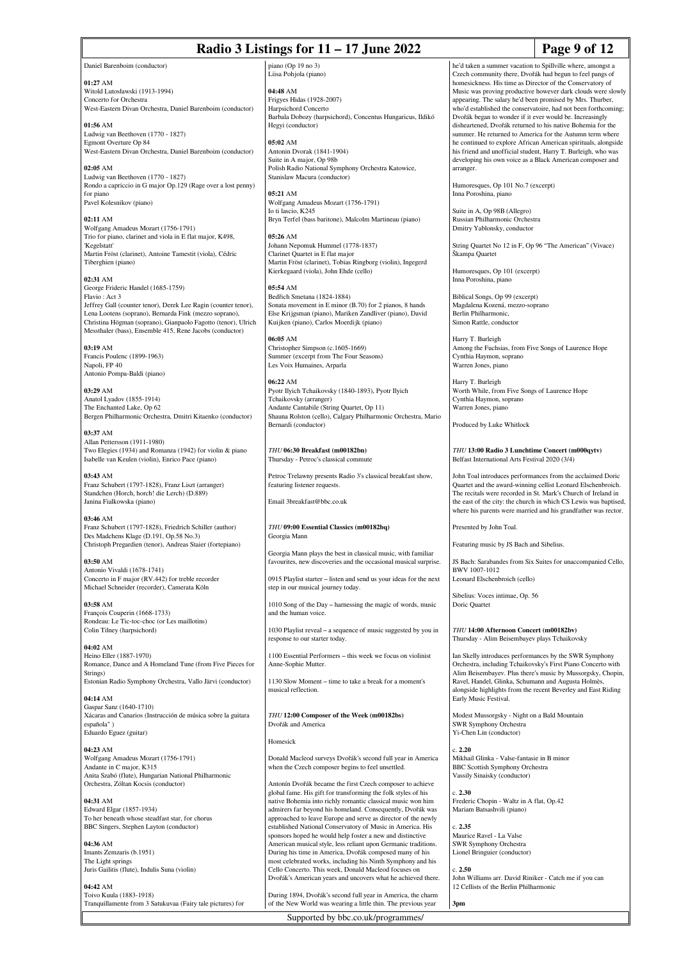## **Radio 3 Listings for 11 – 17 June 2022 Page 9 of 12**

Daniel Barenboim (conductor)

**01:27** AM Witold Lutosławski (1913-1994) Concerto for Orchestra West-Eastern Divan Orchestra, Daniel Barenboim (conductor)

**01:56** AM Ludwig van Beethoven (1770 - 1827) Egmont Overture Op 84 West-Eastern Divan Orchestra, Daniel Barenboim (conductor)

**02:05** AM Ludwig van Beethoven (1770 - 1827) Rondo a capriccio in G major Op.129 (Rage over a lost penny) for piano Pavel Kolesnikov (piano)

## **02:11** AM

Wolfgang Amadeus Mozart (1756-1791) Trio for piano, clarinet and viola in E flat major, K498, 'Kegelstatt' Martin Fröst (clarinet), Antoine Tamestit (viola), Cédric Tiberghien (piano)

**02:31** AM George Frideric Handel (1685-1759) Flavio : Act 3 Jeffrey Gall (counter tenor), Derek Lee Ragin (counter tenor), Lena Lootens (soprano), Bernarda Fink (mezzo soprano), Christina Högman (soprano), Gianpaolo Fagotto (tenor), Ulrich Messthaler (bass), Ensemble 415, Rene Jacobs (conductor)

**03:19** AM Francis Poulenc (1899-1963) Napoli, FP 40 Antonio Pompa-Baldi (piano)

**03:29** AM Anatol Lyadov (1855-1914) The Enchanted Lake, Op 62 Bergen Philharmonic Orchestra, Dmitri Kitaenko (conductor)

**03:37** AM Allan Pettersson (1911-1980) Two Elegies (1934) and Romanza (1942) for violin & piano Isabelle van Keulen (violin), Enrico Pace (piano)

**03:43** AM Franz Schubert (1797-1828), Franz Liszt (arranger) Standchen (Horch, horch! die Lerch) (D.889) Janina Fialkowska (piano)

## **03:46** AM

Franz Schubert (1797-1828), Friedrich Schiller (author) Des Madchens Klage (D.191, Op.58 No.3) Christoph Pregardien (tenor), Andreas Staier (fortepiano)

**03:50** AM Antonio Vivaldi (1678-1741) Concerto in F major (RV.442) for treble recorder Michael Schneider (recorder), Camerata Köln

**03:58** AM François Couperin (1668-1733) Rondeau: Le Tic-toc-choc (or Les maillotins) Colin Tilney (harpsichord)

**04:02** AM Heino Eller (1887-1970) Romance, Dance and A Homeland Tune (from Five Pieces for Strings) Estonian Radio Symphony Orchestra, Vallo Järvi (conductor)

**04:14** AM Gaspar Sanz (1640-1710) Xácaras and Canarios (Instrucción de música sobre la guitara española") Eduardo Eguez (guitar)

**04:23** AM Wolfgang Amadeus Mozart (1756-1791) Andante in C major, K315 Anita Szabó (flute), Hungarian National Philharmonic Orchestra, Zóltan Kocsis (conductor)

**04:31** AM Edward Elgar (1857-1934) To her beneath whose steadfast star, for chorus BBC Singers, Stephen Layton (conductor)

**04:36** AM Imants Zemzaris (b.1951) The Light springs Juris Gailitis (flute), Indulis Suna (violin)

**04:42** AM Toivo Kuula (1883-1918) Tranquillamente from 3 Satukuvaa (Fairy tale pictures) for piano (Op 19 no 3) r<br>Liisa Pohjola (piano)

**04:48** AM Frigyes Hidas (1928-2007) Harpsichord Concerto Barbala Dobozy (harpsichord), Concentus Hungaricus, Ildikó Hegyi (conductor)

**05:02** AM Antonin Dvorak (1841-1904) Suite in A major, Op 98b Polish Radio National Symphony Orchestra Katowice, Stanislaw Macura (conductor)

**05:21** AM Wolfgang Amadeus Mozart (1756-1791) Io ti lascio, K245 Bryn Terfel (bass baritone), Malcolm Martineau (piano)

**05:26** AM Johann Nepomuk Hummel (1778-1837) Clarinet Quartet in E flat major Martin Fröst (clarinet), Tobias Ringborg (violin), Ingegerd Kierkegaard (viola), John Ehde (cello)

**05:54** AM Bedřich Smetana (1824-1884) Sonata movement in E minor (B.70) for 2 pianos, 8 hands Else Krijgsman (piano), Mariken Zandliver (piano), David Kuijken (piano), Carlos Moerdijk (piano)

**06:05** AM Christopher Simpson (c.1605-1669) Summer (excerpt from The Four Seasons) Les Voix Humaines, Arparla

**06:22** AM Pyotr Ilyich Tchaikovsky (1840-1893), Pyotr Ilyich Tchaikovsky (arranger) Andante Cantabile (String Quartet, Op 11) Shauna Rolston (cello), Calgary Philharmonic Orchestra, Mario Bernardi (conductor)

*THU* **06:30 Breakfast (m00182bn)** Thursday - Petroc's classical commute

Petroc Trelawny presents Radio 3's classical breakfast show, featuring listener requests.

Email 3breakfast@bbc.co.uk

### *THU* **09:00 Essential Classics (m00182bq)** Georgia Mann

Georgia Mann plays the best in classical music, with familiar favourites, new discoveries and the occasional musical surprise.

0915 Playlist starter – listen and send us your ideas for the next step in our musical journey today.

1010 Song of the Day – harnessing the magic of words, music and the human voice

1030 Playlist reveal – a sequence of music suggested by you in response to our starter today.

1100 Essential Performers – this week we focus on violinist Anne-Sophie Mutter.

1130 Slow Moment – time to take a break for a moment's musical reflection.

*THU* **12:00 Composer of the Week (m00182bs)** Dvořák and America

## Homesick

Donald Macleod surveys Dvořák's second full year in America when the Czech composer begins to feel unsettled.

Antonín Dvořák became the first Czech composer to achieve global fame. His gift for transforming the folk styles of his native Bohemia into richly romantic classical music won him admirers far beyond his homeland. Consequently, Dvořák was approached to leave Europe and serve as director of the newly established National Conservatory of Music in America. His sponsors hoped he would help foster a new and distinctive American musical style, less reliant upon Germanic traditions. During his time in America, Dvořák composed many of his most celebrated works, including his Ninth Symphony and his Cello Concerto. This week, Donald Macleod focuses on Dvořák's American years and uncovers what he achieved there.

During 1894, Dvořák's second full year in America, the charm of the New World was wearing a little thin. The previous year

Supported by bbc.co.uk/programmes/

he'd taken a summer vacation to Spillville where, amongst a Czech community there, Dvořák had begun to feel pangs of homesickness. His time as Director of the Conservatory of Music was proving productive however dark clouds were slowly appearing. The salary he'd been promised by Mrs. Thurber, who'd established the conservatoire, had not been forthcoming; Dvořák began to wonder if it ever would be. Increasingly disheartened, Dvořák returned to his native Bohemia for the summer. He returned to America for the Autumn term where he continued to explore African American spirituals, alongside his friend and unofficial student, Harry T. Burleigh, who was developing his own voice as a Black American composer and arranger.

Humoresques, Op 101 No.7 (excerpt) Inna Poroshina, piano

Suite in A, Op 98B (Allegro) Russian Philharmonic Orchestra Dmitry Yablonsky, conductor

String Quartet No 12 in F, Op 96 "The American" (Vivace) Škampa Quartet

Humoresques, Op 101 (excerpt) Inna Poroshina, piano

Biblical Songs, Op 99 (excerpt) Magdalena Kozená, mezzo-soprano Berlin Philharmonic, Simon Rattle, conductor

Harry T. Burleigh Among the Fuchsias, from Five Songs of Laurence Hope Cynthia Haymon, soprano Warren Jones, piano

Harry T. Burleigh Worth While, from Five Songs of Laurence Hope Cynthia Haymon, soprano Warren Jones, piano

Produced by Luke Whitlock

*THU* **13:00 Radio 3 Lunchtime Concert (m000qytv)** Belfast International Arts Festival 2020 (3/4)

John Toal introduces performances from the acclaimed Doric Quartet and the award-winning cellist Leonard Elschenbroich. The recitals were recorded in St. Mark's Church of Ireland in the east of the city: the church in which CS Lewis was baptised, where his parents were married and his grandfather was rector.

Presented by John Toal.

Featuring music by JS Bach and Sibelius.

JS Bach: Sarabandes from Six Suites for unaccompanied Cello, BWV 1007-1012 Leonard Elschenbroich (cello)

Sibelius: Voces intimae, Op. 56 Doric Quartet

### *THU* **14:00 Afternoon Concert (m00182bv)** Thursday - Alim Beisembayev plays Tchaikovsky

Ian Skelly introduces performances by the SWR Symphony Orchestra, including Tchaikovsky's First Piano Concerto with Alim Beisembayev. Plus there's music by Mussorgsky, Chopin, Ravel, Handel, Glinka, Schumann and Augusta Holmès, alongside highlights from the recent Beverley and East Riding Early Music Festival.

Modest Mussorgsky - Night on a Bald Mountain SWR Symphony Orchestra Yi-Chen Lin (conductor)

c. **2.20** Mikhail Glinka - Valse-fantasie in B minor BBC Scottish Symphony Orchestra Vassily Sinaisky (conductor)

c. **2.30** Frederic Chopin - Waltz in A flat, Op.42 Mariam Batsashvili (piano)

c. **2.35** Maurice Ravel - La Valse SWR Symphony Orchestra Lionel Bringuier (conductor)

c. **2.50** John Williams arr. David Riniker - Catch me if you can 12 Cellists of the Berlin Philharmonic

**3pm**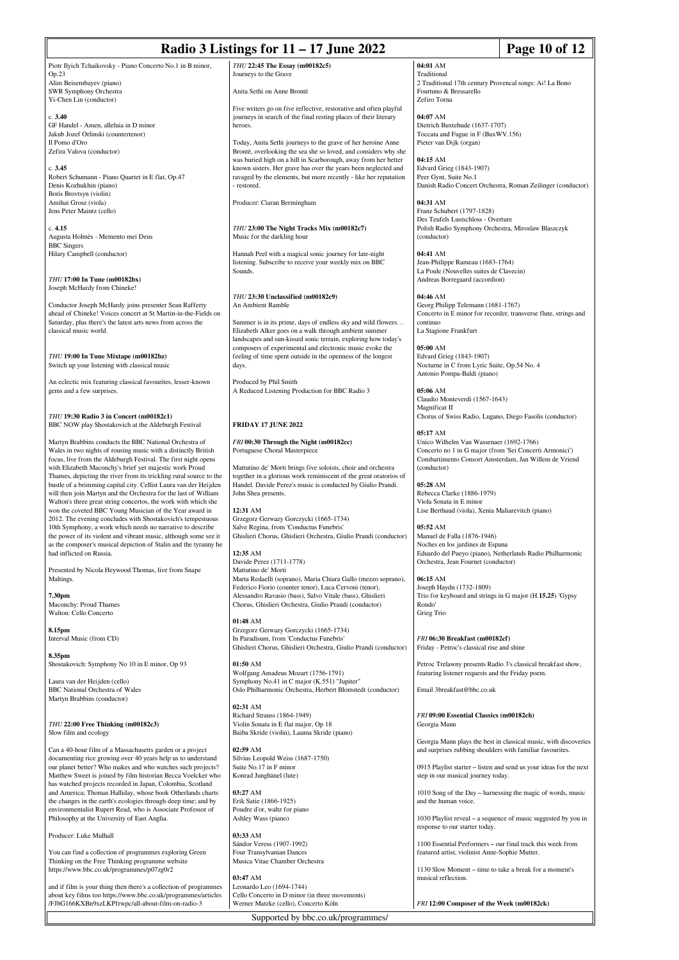| Radio 3 Listings for $11 - 17$ June 2022<br>Page 10 of 12                                                                            |                                                                                                                                    |                                                                                                    |                                                                    |  |
|--------------------------------------------------------------------------------------------------------------------------------------|------------------------------------------------------------------------------------------------------------------------------------|----------------------------------------------------------------------------------------------------|--------------------------------------------------------------------|--|
| Piotr Ilyich Tchaikovsky - Piano Concerto No.1 in B minor,                                                                           | THU 22:45 The Essay (m00182c5)                                                                                                     | 04:01 AM                                                                                           |                                                                    |  |
| Op.23                                                                                                                                | Journeys to the Grave                                                                                                              | Traditional                                                                                        |                                                                    |  |
| Alim Beisembayev (piano)<br>SWR Symphony Orchestra<br>Yi-Chen Lin (conductor)                                                        | Anita Sethi on Anne Brontë                                                                                                         | 2 Traditional 17th century Provencal songs: Ai! La Bono<br>Fourtuno & Bressarello<br>Zefiro Torna  |                                                                    |  |
|                                                                                                                                      | Five writers go on five reflective, restorative and often playful                                                                  |                                                                                                    |                                                                    |  |
| c.3.40<br>GF Handel - Amen, alleluia in D minor                                                                                      | journeys in search of the final resting places of their literary<br>heroes.                                                        | 04:07 AM<br>Dietrich Buxtehude (1637-1707)                                                         |                                                                    |  |
| Jakub Jozef Orlinski (countertenor)                                                                                                  |                                                                                                                                    | Toccata and Fugue in F (BuxWV.156)                                                                 |                                                                    |  |
| Il Pomo d'Oro<br>Zefira Valova (conductor)                                                                                           | Today, Anita Sethi journeys to the grave of her heroine Anne<br>Brontë, overlooking the sea she so loved, and considers why she    | Pieter van Dijk (organ)                                                                            |                                                                    |  |
|                                                                                                                                      | was buried high on a hill in Scarborough, away from her better                                                                     | 04:15 AM                                                                                           |                                                                    |  |
| c.3.45<br>Robert Schumann - Piano Quartet in E flat, Op.47                                                                           | known sisters. Her grave has over the years been neglected and<br>ravaged by the elements, but more recently - like her reputation | Edvard Grieg (1843-1907)<br>Peer Gynt, Suite No.1                                                  |                                                                    |  |
| Denis Kozhukhin (piano)                                                                                                              | - restored.                                                                                                                        | Danish Radio Concert Orchestra, Roman Zeilinger (conductor)                                        |                                                                    |  |
| Boris Brovtsyn (violin)<br>Amihai Grosz (viola)                                                                                      | Producer: Ciaran Bermingham                                                                                                        | 04:31 AM                                                                                           |                                                                    |  |
| Jens Peter Maintz (cello)                                                                                                            |                                                                                                                                    | Franz Schubert (1797-1828)                                                                         |                                                                    |  |
| c. 4.15                                                                                                                              | THU 23:00 The Night Tracks Mix (m00182c7)                                                                                          | Des Teufels Lustschloss - Overture<br>Polish Radio Symphony Orchestra, Miroslaw Blaszczyk          |                                                                    |  |
| Augusta Holmès - Memento mei Deus<br><b>BBC</b> Singers                                                                              | Music for the darkling hour                                                                                                        | (conductor)                                                                                        |                                                                    |  |
| Hilary Campbell (conductor)                                                                                                          | Hannah Peel with a magical sonic journey for late-night                                                                            | 04:41 AM                                                                                           |                                                                    |  |
|                                                                                                                                      | listening. Subscribe to receive your weekly mix on BBC<br>Sounds.                                                                  | Jean-Philippe Rameau (1683-1764)<br>La Poule (Nouvelles suites de Clavecin)                        |                                                                    |  |
| THU 17:00 In Tune (m00182bx)                                                                                                         |                                                                                                                                    | Andreas Borregaard (accordion)                                                                     |                                                                    |  |
| Joseph McHardy from Chineke!                                                                                                         | THU 23:30 Unclassified (m00182c9)                                                                                                  | 04:46 AM                                                                                           |                                                                    |  |
| Conductor Joseph McHardy joins presenter Sean Rafferty                                                                               | An Ambient Ramble                                                                                                                  | Georg Philipp Telemann (1681-1767)                                                                 |                                                                    |  |
| ahead of Chineke! Voices concert at St Martin-in-the-Fields on<br>Saturday, plus there's the latest arts news from across the        | Summer is in its prime, days of endless sky and wild flowers                                                                       | Concerto in E minor for recorder, transverse flute, strings and<br>continuo                        |                                                                    |  |
| classical music world.                                                                                                               | Elizabeth Alker goes on a walk through ambient summer                                                                              | La Stagione Frankfurt                                                                              |                                                                    |  |
|                                                                                                                                      | landscapes and sun-kissed sonic terrain, exploring how today's<br>composers of experimental and electronic music evoke the         | 05:00 AM                                                                                           |                                                                    |  |
| THU 19:00 In Tune Mixtape (m00182bz)                                                                                                 | feeling of time spent outside in the openness of the longest                                                                       | Edvard Grieg (1843-1907)                                                                           |                                                                    |  |
| Switch up your listening with classical music                                                                                        | days.                                                                                                                              | Nocturne in C from Lyric Suite, Op.54 No. 4<br>Antonio Pompa-Baldi (piano)                         |                                                                    |  |
| An eclectic mix featuring classical favourites, lesser-known                                                                         | Produced by Phil Smith                                                                                                             |                                                                                                    |                                                                    |  |
| gems and a few surprises.                                                                                                            | A Reduced Listening Production for BBC Radio 3                                                                                     | 05:06 AM<br>Claudio Monteverdi (1567-1643)                                                         |                                                                    |  |
|                                                                                                                                      |                                                                                                                                    | Magnificat II                                                                                      |                                                                    |  |
| THU 19:30 Radio 3 in Concert (m00182c1)<br>BBC NOW play Shostakovich at the Aldeburgh Festival                                       | <b>FRIDAY 17 JUNE 2022</b>                                                                                                         | Chorus of Swiss Radio, Lugano, Diego Fasolis (conductor)                                           |                                                                    |  |
|                                                                                                                                      |                                                                                                                                    | 05:17 AM                                                                                           |                                                                    |  |
| Martyn Brabbins conducts the BBC National Orchestra of<br>Wales in two nights of rousing music with a distinctly British             | FRI 00:30 Through the Night (m00182cc)<br>Portuguese Choral Masterpiece                                                            | Unico Wilhelm Van Wassenaer (1692-1766)<br>Concerto no 1 in G major (from 'Sei Concerti Armonici') |                                                                    |  |
| focus, live from the Aldeburgh Festival. The first night opens                                                                       |                                                                                                                                    | Combattimento Consort Amsterdam, Jan Willem de Vriend                                              |                                                                    |  |
| with Elizabeth Maconchy's brief yet majestic work Proud<br>Thames, depicting the river from its trickling rural source to the        | Mattutino de' Morti brings five soloists, choir and orchestra<br>together in a glorious work reminiscent of the great oratorios of | (conductor)                                                                                        |                                                                    |  |
| bustle of a brimming capital city. Cellist Laura van der Heijden<br>will then join Martyn and the Orchestra for the last of William  | Handel. Davide Perez's music is conducted by Giulio Prandi.<br>John Shea presents.                                                 | 05:28 AM<br>Rebecca Clarke (1886-1979)                                                             |                                                                    |  |
| Walton's three great string concertos, the work with which she                                                                       |                                                                                                                                    | Viola Sonata in E minor                                                                            |                                                                    |  |
| won the coveted BBC Young Musician of the Year award in<br>2012. The evening concludes with Shostakovich's tempestuous               | 12:31 AM<br>Grzegorz Gerwazy Gorczycki (1665-1734)                                                                                 | Lise Berthaud (viola), Xenia Maliarevitch (piano)                                                  |                                                                    |  |
| 10th Symphony, a work which needs no narrative to describe                                                                           | Salve Regina, from 'Conductus Funebris'                                                                                            | 05:52 AM                                                                                           |                                                                    |  |
| the power of its violent and vibrant music, although some see it<br>as the composer's musical depiction of Stalin and the tyranny he | Ghislieri Chorus, Ghislieri Orchestra, Giulio Prandi (conductor)                                                                   | Manuel de Falla (1876-1946)<br>Noches en los jardines de Espana                                    |                                                                    |  |
| had inflicted on Russia.                                                                                                             | 12:35 AM                                                                                                                           | Eduardo del Pueyo (piano), Netherlands Radio Philharmonic                                          |                                                                    |  |
| Presented by Nicola Heywood Thomas, live from Snape                                                                                  | Davide Perez (1711-1778)<br>Mattutino de' Morti                                                                                    | Orchestra, Jean Fournet (conductor)                                                                |                                                                    |  |
| Maltings.                                                                                                                            | Marta Redaelli (soprano), Maria Chiara Gallo (mezzo soprano),                                                                      | 06:15 AM                                                                                           |                                                                    |  |
| 7.30pm                                                                                                                               | Federico Fiorio (counter tenor), Luca Cervoni (tenor),<br>Alessandro Ravasio (bass), Salvo Vitale (bass), Ghislieri                | Joseph Haydn (1732-1809)<br>Trio for keyboard and strings in G major (H.15.25) 'Gypsy              |                                                                    |  |
| Maconchy: Proud Thames                                                                                                               | Chorus, Ghislieri Orchestra, Giulio Prandi (conductor)                                                                             | Rondo'                                                                                             |                                                                    |  |
| Walton: Cello Concerto                                                                                                               | 01:48 AM                                                                                                                           | Grieg Trio                                                                                         |                                                                    |  |
| 8.15pm<br>Interval Music (from CD)                                                                                                   | Grzegorz Gerwazy Gorczycki (1665-1734)<br>In Paradisum, from 'Conductus Funebris'                                                  | FRI 06:30 Breakfast (m00182cf)                                                                     |                                                                    |  |
|                                                                                                                                      | Ghislieri Chorus, Ghislieri Orchestra, Giulio Prandi (conductor)                                                                   | Friday - Petroc's classical rise and shine                                                         |                                                                    |  |
| 8.35pm<br>Shostakovich: Symphony No 10 in E minor, Op 93                                                                             | $01:50$ AM                                                                                                                         | Petroc Trelawny presents Radio 3's classical breakfast show,                                       |                                                                    |  |
|                                                                                                                                      | Wolfgang Amadeus Mozart (1756-1791)                                                                                                | featuring listener requests and the Friday poem.                                                   |                                                                    |  |
| Laura van der Heijden (cello)<br><b>BBC</b> National Orchestra of Wales                                                              | Symphony No.41 in C major (K.551) "Jupiter"<br>Oslo Philharmonic Orchestra, Herbert Blomstedt (conductor)                          | Email 3breakfast@bbc.co.uk                                                                         |                                                                    |  |
| Martyn Brabbins (conductor)                                                                                                          |                                                                                                                                    |                                                                                                    |                                                                    |  |
|                                                                                                                                      | 02:31 AM<br>Richard Strauss (1864-1949)                                                                                            | FRI 09:00 Essential Classics (m00182ch)                                                            |                                                                    |  |
| THU 22:00 Free Thinking (m00182c3)                                                                                                   | Violin Sonata in E flat major, Op 18                                                                                               | Georgia Mann                                                                                       |                                                                    |  |
| Slow film and ecology                                                                                                                | Baiba Skride (violin), Lauma Skride (piano)                                                                                        |                                                                                                    | Georgia Mann plays the best in classical music, with discoveries   |  |
| Can a 40-hour film of a Massachusetts garden or a project                                                                            | 02:59 AM                                                                                                                           | and surprises rubbing shoulders with familiar favourites.                                          |                                                                    |  |
| documenting rice growing over 40 years help us to understand<br>our planet better? Who makes and who watches such projects?          | Silvius Leopold Weiss (1687-1750)<br>Suite No.17 in F minor                                                                        |                                                                                                    | 0915 Playlist starter - listen and send us your ideas for the next |  |
| Matthew Sweet is joined by film historian Becca Voelcker who                                                                         | Konrad Junghänel (lute)                                                                                                            | step in our musical journey today.                                                                 |                                                                    |  |
| has watched projects recorded in Japan, Colombia, Scotland<br>and America; Thomas Halliday, whose book Otherlands charts             | 03:27 AM                                                                                                                           | 1010 Song of the Day - harnessing the magic of words, music                                        |                                                                    |  |
| the changes in the earth's ecologies through deep time; and by<br>environmentalist Rupert Read, who is Associate Professor of        | Erik Satie (1866-1925)<br>Poudre d'or, waltz for piano                                                                             | and the human voice.                                                                               |                                                                    |  |
| Philosophy at the University of East Anglia.                                                                                         | Ashley Wass (piano)                                                                                                                |                                                                                                    | 1030 Playlist reveal - a sequence of music suggested by you in     |  |
| Producer: Luke Mulhall                                                                                                               | 03:33 AM                                                                                                                           | response to our starter today.                                                                     |                                                                    |  |
|                                                                                                                                      | Sándor Veress (1907-1992)                                                                                                          | 1100 Essential Performers - our final track this week from                                         |                                                                    |  |
| You can find a collection of programmes exploring Green<br>Thinking on the Free Thinking programme website                           | Four Transylvanian Dances<br>Musica Vitae Chamber Orchestra                                                                        | featured artist, violinist Anne-Sophie Mutter.                                                     |                                                                    |  |
| https://www.bbc.co.uk/programmes/p07zg0r2                                                                                            |                                                                                                                                    | 1130 Slow Moment – time to take a break for a moment's                                             |                                                                    |  |
| and if film is your thing then there's a collection of programmes                                                                    | 03:47 AM<br>Leonardo Leo (1694-1744)                                                                                               | musical reflection.                                                                                |                                                                    |  |
| about key films too https://www.bbc.co.uk/programmes/articles                                                                        | Cello Concerto in D minor (in three movements)                                                                                     |                                                                                                    |                                                                    |  |
| /FJbG166KXBn9xzLKPfrwpc/all-about-film-on-radio-3                                                                                    | Werner Matzke (cello), Concerto Köln                                                                                               | FRI 12:00 Composer of the Week (m00182ck)                                                          |                                                                    |  |
| Supported by bbc.co.uk/programmes/                                                                                                   |                                                                                                                                    |                                                                                                    |                                                                    |  |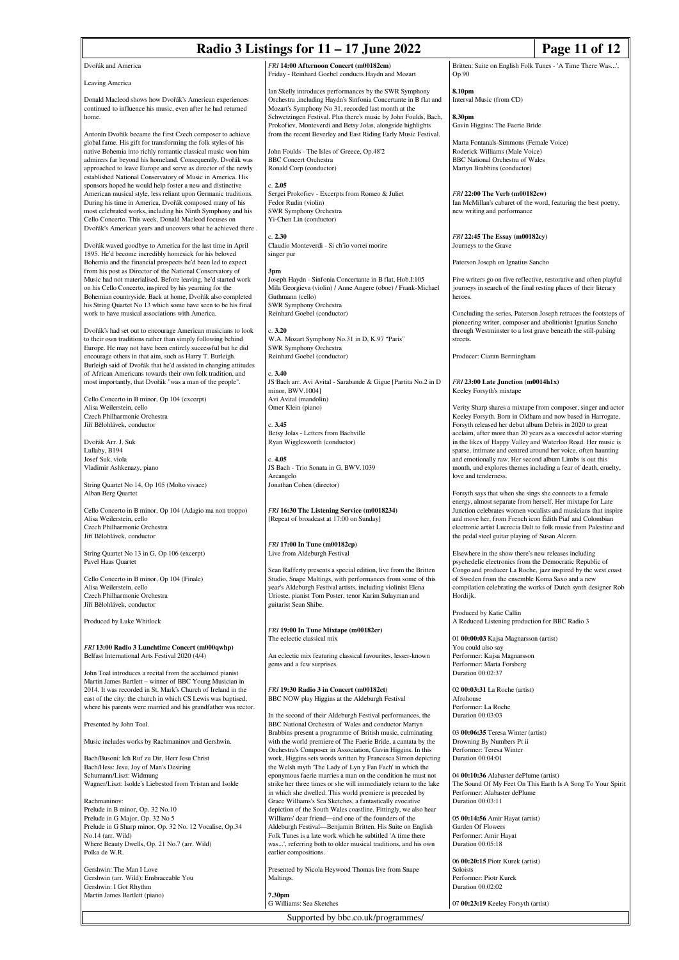| Radio 3 Listings for $11 - 17$ June 2022<br>Page 11 of 12                                                                      |                                                                                                                                                                                                  |                                                                                                                               |                                                                                                                                  |  |
|--------------------------------------------------------------------------------------------------------------------------------|--------------------------------------------------------------------------------------------------------------------------------------------------------------------------------------------------|-------------------------------------------------------------------------------------------------------------------------------|----------------------------------------------------------------------------------------------------------------------------------|--|
| Dvořák and America                                                                                                             | FRI 14:00 Afternoon Concert (m00182cm)                                                                                                                                                           | Britten: Suite on English Folk Tunes - 'A Time There Was',                                                                    |                                                                                                                                  |  |
| Leaving America                                                                                                                | Friday - Reinhard Goebel conducts Haydn and Mozart                                                                                                                                               | Op 90                                                                                                                         |                                                                                                                                  |  |
| Donald Macleod shows how Dvořák's American experiences<br>continued to influence his music, even after he had returned         | Ian Skelly introduces performances by the SWR Symphony<br>Orchestra ,including Haydn's Sinfonia Concertante in B flat and<br>Mozart's Symphony No 31, recorded last month at the                 | 8.10pm<br>Interval Music (from CD)                                                                                            |                                                                                                                                  |  |
| home.<br>Antonín Dvořák became the first Czech composer to achieve                                                             | Schwetzingen Festival. Plus there's music by John Foulds, Bach,<br>Prokofiev, Monteverdi and Betsy Jolas, alongside highlights<br>from the recent Beverley and East Riding Early Music Festival. | 8.30pm<br>Gavin Higgins: The Faerie Bride                                                                                     |                                                                                                                                  |  |
| global fame. His gift for transforming the folk styles of his<br>native Bohemia into richly romantic classical music won him   | John Foulds - The Isles of Greece, Op.48'2                                                                                                                                                       | Marta Fontanals-Simmons (Female Voice)<br>Roderick Williams (Male Voice)                                                      |                                                                                                                                  |  |
| admirers far beyond his homeland. Consequently, Dvořák was                                                                     | <b>BBC</b> Concert Orchestra                                                                                                                                                                     | <b>BBC</b> National Orchestra of Wales                                                                                        |                                                                                                                                  |  |
| approached to leave Europe and serve as director of the newly<br>established National Conservatory of Music in America. His    | Ronald Corp (conductor)                                                                                                                                                                          | Martyn Brabbins (conductor)                                                                                                   |                                                                                                                                  |  |
| sponsors hoped he would help foster a new and distinctive<br>American musical style, less reliant upon Germanic traditions.    | c. 2.05<br>Sergei Prokofiev - Excerpts from Romeo & Juliet                                                                                                                                       | FRI 22:00 The Verb (m00182cw)                                                                                                 |                                                                                                                                  |  |
| During his time in America, Dvořák composed many of his<br>most celebrated works, including his Ninth Symphony and his         | Fedor Rudin (violin)<br>SWR Symphony Orchestra                                                                                                                                                   | new writing and performance                                                                                                   | Ian McMillan's cabaret of the word, featuring the best poetry,                                                                   |  |
| Cello Concerto. This week, Donald Macleod focuses on<br>Dvořák's American years and uncovers what he achieved there.           | Yi-Chen Lin (conductor)                                                                                                                                                                          |                                                                                                                               |                                                                                                                                  |  |
| Dvořák waved goodbye to America for the last time in April                                                                     | c. 2.30<br>Claudio Monteverdi - Si ch'io vorrei morire                                                                                                                                           | FRI 22:45 The Essay (m00182cy)<br>Journeys to the Grave                                                                       |                                                                                                                                  |  |
| 1895. He'd become incredibly homesick for his beloved<br>Bohemia and the financial prospects he'd been led to expect           | singer pur                                                                                                                                                                                       | Paterson Joseph on Ignatius Sancho                                                                                            |                                                                                                                                  |  |
| from his post as Director of the National Conservatory of<br>Music had not materialised. Before leaving, he'd started work     | 3pm                                                                                                                                                                                              |                                                                                                                               | Five writers go on five reflective, restorative and often playful                                                                |  |
| on his Cello Concerto, inspired by his yearning for the                                                                        | Joseph Haydn - Sinfonia Concertante in B flat, Hob.I:105<br>Mila Georgieva (violin) / Anne Angere (oboe) / Frank-Michael                                                                         |                                                                                                                               | journeys in search of the final resting places of their literary                                                                 |  |
| Bohemian countryside. Back at home, Dvořák also completed<br>his String Quartet No 13 which some have seen to be his final     | Guthmann (cello)<br><b>SWR Symphony Orchestra</b>                                                                                                                                                | heroes.                                                                                                                       |                                                                                                                                  |  |
| work to have musical associations with America.                                                                                | Reinhard Goebel (conductor)                                                                                                                                                                      |                                                                                                                               | Concluding the series, Paterson Joseph retraces the footsteps of<br>pioneering writer, composer and abolitionist Ignatius Sancho |  |
| Dvořák's had set out to encourage American musicians to look<br>to their own traditions rather than simply following behind    | c.3.20<br>W.A. Mozart Symphony No.31 in D, K.97 "Paris"                                                                                                                                          | streets.                                                                                                                      | through Westminster to a lost grave beneath the still-pulsing                                                                    |  |
| Europe. He may not have been entirely successful but he did                                                                    | SWR Symphony Orchestra                                                                                                                                                                           |                                                                                                                               |                                                                                                                                  |  |
| encourage others in that aim, such as Harry T. Burleigh.<br>Burleigh said of Dvořák that he'd assisted in changing attitudes   | Reinhard Goebel (conductor)                                                                                                                                                                      | Producer: Ciaran Bermingham                                                                                                   |                                                                                                                                  |  |
| of African Americans towards their own folk tradition, and<br>most importantly, that Dvořák "was a man of the people".         | c.3.40<br>JS Bach arr. Avi Avital - Sarabande & Gigue [Partita No.2 in D<br>minor, BWV.1004]                                                                                                     | FRI 23:00 Late Junction (m0014h1x)                                                                                            |                                                                                                                                  |  |
| Cello Concerto in B minor, Op 104 (excerpt)                                                                                    | Avi Avital (mandolin)                                                                                                                                                                            | Keeley Forsyth's mixtape                                                                                                      |                                                                                                                                  |  |
| Alisa Weilerstein, cello<br>Czech Philharmonic Orchestra                                                                       | Omer Klein (piano)                                                                                                                                                                               | Verity Sharp shares a mixtape from composer, singer and actor<br>Keeley Forsyth. Born in Oldham and now based in Harrogate,   |                                                                                                                                  |  |
| Jiří Bělohlávek, conductor                                                                                                     | c.3.45<br>Betsy Jolas - Letters from Bachville                                                                                                                                                   | Forsyth released her debut album Debris in 2020 to great                                                                      | acclaim, after more than 20 years as a successful actor starring                                                                 |  |
| Dvořák Arr. J. Suk<br>Lullaby, B194                                                                                            | Ryan Wigglesworth (conductor)                                                                                                                                                                    | in the likes of Happy Valley and Waterloo Road. Her music is<br>sparse, intimate and centred around her voice, often haunting |                                                                                                                                  |  |
| Josef Suk, viola<br>Vladimir Ashkenazy, piano                                                                                  | c. 4.05<br>JS Bach - Trio Sonata in G, BWV.1039                                                                                                                                                  | and emotionally raw. Her second album Limbs is out this<br>month, and explores themes including a fear of death, cruelty,     |                                                                                                                                  |  |
| String Quartet No 14, Op 105 (Molto vivace)<br>Alban Berg Quartet                                                              | Arcangelo<br>Jonathan Cohen (director)                                                                                                                                                           | love and tenderness.<br>Forsyth says that when she sings she connects to a female                                             |                                                                                                                                  |  |
| Cello Concerto in B minor, Op 104 (Adagio ma non troppo)                                                                       | FRI 16:30 The Listening Service (m0018234)                                                                                                                                                       | energy, almost separate from herself. Her mixtape for Late<br>Junction celebrates women vocalists and musicians that inspire  |                                                                                                                                  |  |
| Alisa Weilerstein, cello                                                                                                       | [Repeat of broadcast at 17:00 on Sunday]                                                                                                                                                         | and move her, from French icon Édith Piaf and Colombian                                                                       |                                                                                                                                  |  |
| Czech Philharmonic Orchestra<br>Jiří Bělohlávek, conductor                                                                     |                                                                                                                                                                                                  | the pedal steel guitar playing of Susan Alcorn.                                                                               | electronic artist Lucrecia Dalt to folk music from Palestine and                                                                 |  |
| String Quartet No 13 in G, Op 106 (excerpt)                                                                                    | FRI 17:00 In Tune (m00182cp)<br>Live from Aldeburgh Festival                                                                                                                                     | Elsewhere in the show there's new releases including                                                                          |                                                                                                                                  |  |
| Pavel Haas Quartet                                                                                                             | Sean Rafferty presents a special edition, live from the Britten                                                                                                                                  | psychedelic electronics from the Democratic Republic of                                                                       | Congo and producer La Roche, jazz inspired by the west coast                                                                     |  |
| Cello Concerto in B minor, Op 104 (Finale)<br>Alisa Weilerstein, cello                                                         | Studio, Snape Maltings, with performances from some of this<br>year's Aldeburgh Festival artists, including violinist Elena                                                                      | of Sweden from the ensemble Koma Saxo and a new                                                                               |                                                                                                                                  |  |
| Czech Philharmonic Orchestra                                                                                                   | Urioste, pianist Tom Poster, tenor Karim Sulayman and                                                                                                                                            | compilation celebrating the works of Dutch synth designer Rob<br>Hordijk.                                                     |                                                                                                                                  |  |
| Jiří Bělohlávek, conductor                                                                                                     | guitarist Sean Shibe.                                                                                                                                                                            | Produced by Katie Callin                                                                                                      |                                                                                                                                  |  |
| Produced by Luke Whitlock                                                                                                      | FRI 19:00 In Tune Mixtape (m00182cr)                                                                                                                                                             | A Reduced Listening production for BBC Radio 3                                                                                |                                                                                                                                  |  |
| FRI 13:00 Radio 3 Lunchtime Concert (m000qwhp)                                                                                 | The eclectic classical mix                                                                                                                                                                       | 01 00:00:03 Kajsa Magnarsson (artist)<br>You could also say                                                                   |                                                                                                                                  |  |
| Belfast International Arts Festival 2020 (4/4)                                                                                 | An eclectic mix featuring classical favourites, lesser-known<br>gems and a few surprises.                                                                                                        | Performer: Kajsa Magnarsson<br>Performer: Marta Forsberg                                                                      |                                                                                                                                  |  |
| John Toal introduces a recital from the acclaimed pianist                                                                      |                                                                                                                                                                                                  | Duration 00:02:37                                                                                                             |                                                                                                                                  |  |
| Martin James Bartlett - winner of BBC Young Musician in<br>2014. It was recorded in St. Mark's Church of Ireland in the        | FRI 19:30 Radio 3 in Concert (m00182ct)                                                                                                                                                          | 02 00:03:31 La Roche (artist)                                                                                                 |                                                                                                                                  |  |
| east of the city: the church in which CS Lewis was baptised,<br>where his parents were married and his grandfather was rector. | BBC NOW play Higgins at the Aldeburgh Festival                                                                                                                                                   | Afrohouse<br>Performer: La Roche                                                                                              |                                                                                                                                  |  |
| Presented by John Toal.                                                                                                        | In the second of their Aldeburgh Festival performances, the<br>BBC National Orchestra of Wales and conductor Martyn                                                                              | Duration 00:03:03                                                                                                             |                                                                                                                                  |  |
| Music includes works by Rachmaninov and Gershwin.                                                                              | Brabbins present a programme of British music, culminating<br>with the world premiere of The Faerie Bride, a cantata by the                                                                      | 03 00:06:35 Teresa Winter (artist)<br>Drowning By Numbers Pt ii                                                               |                                                                                                                                  |  |
| Bach/Busoni: Ich Ruf zu Dir, Herr Jesu Christ                                                                                  | Orchestra's Composer in Association, Gavin Higgins. In this<br>work, Higgins sets words written by Francesca Simon depicting                                                                     | Performer: Teresa Winter<br>Duration 00:04:01                                                                                 |                                                                                                                                  |  |
| Bach/Hess: Jesu, Joy of Man's Desiring<br>Schumann/Liszt: Widmung                                                              | the Welsh myth 'The Lady of Lyn y Fan Fach' in which the<br>eponymous faerie marries a man on the condition he must not                                                                          |                                                                                                                               |                                                                                                                                  |  |
| Wagner/Liszt: Isolde's Liebestod from Tristan and Isolde                                                                       | strike her three times or she will immediately return to the lake                                                                                                                                | 04 00:10:36 Alabaster dePlume (artist)<br>The Sound Of My Feet On This Earth Is A Song To Your Spirit                         |                                                                                                                                  |  |
| Rachmaninov:                                                                                                                   | in which she dwelled. This world premiere is preceded by<br>Grace Williams's Sea Sketches, a fantastically evocative                                                                             | Performer: Alabaster dePlume<br>Duration 00:03:11                                                                             |                                                                                                                                  |  |
| Prelude in B minor, Op. 32 No.10<br>Prelude in G Major, Op. 32 No 5                                                            | depiction of the South Wales coastline. Fittingly, we also hear<br>Williams' dear friend—and one of the founders of the                                                                          | 05 00:14:56 Amir Hayat (artist)                                                                                               |                                                                                                                                  |  |
| Prelude in G Sharp minor, Op. 32 No. 12 Vocalise, Op.34<br>No.14 (arr. Wild)                                                   | Aldeburgh Festival-Benjamin Britten. His Suite on English<br>Folk Tunes is a late work which he subtitled 'A time there                                                                          | Garden Of Flowers<br>Performer: Amir Hayat                                                                                    |                                                                                                                                  |  |

Rachmaninov:<br>Prelude in B minor, Op. 32 No 5<br>Prelude in G Sharp minor, Op. 32 No. 12 Vocalise, Op.34<br>No.14 (arr. Wild)<br>Where Beauty Dwells, Op. 21 No.7 (arr. Wild)<br>Where Beauty Dwells, Op. 21 No.7 (arr. Wild)

Gershwin: The Man I Love Gershwin (arr. Wild): Embraceable You Gershwin: I Got Rhythm Martin James Bartlett (piano)

Presented by Nicola Heywood Thomas live from Snape Maltings.

was...', referring both to older musical traditions, and his own

**7.30pm** G Williams: Sea Sketches

earlier compositions.

Supported by bbc.co.uk/programmes/

## 07 **00:23:19** Keeley Forsyth (artist)

06 **00:20:15** Piotr Kurek (artist) Soloists Performer: Piotr Kurek Duration 00:02:02

Performer: Amir Hayat Duration 00:05:18